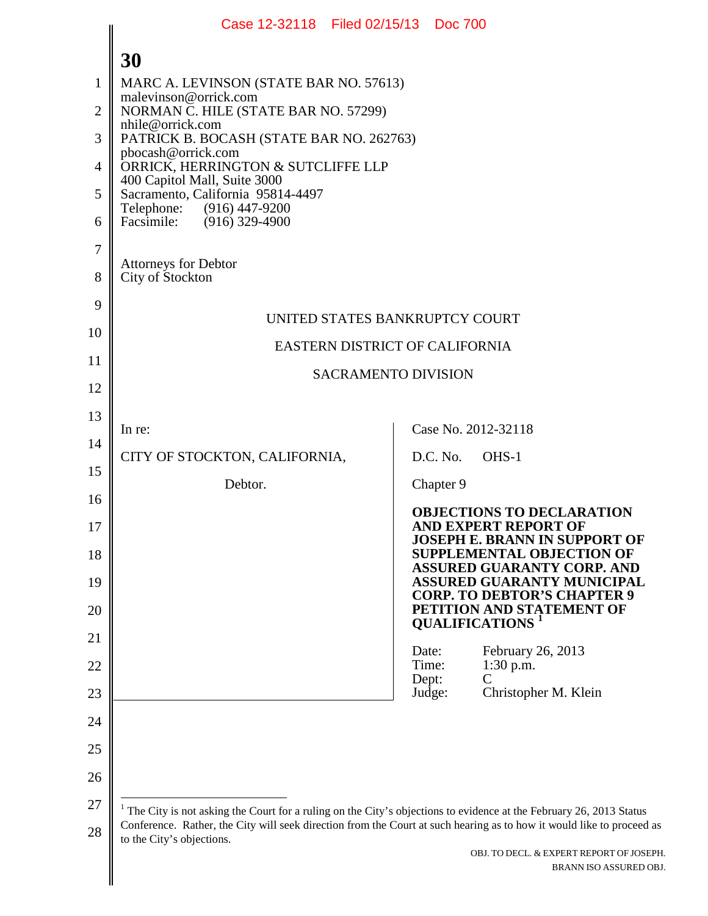<span id="page-0-0"></span>

|                | Case 12-32118 Filed 02/15/13 Doc 700                                                                                                                                                                                                                                |                                                                                                            |  |
|----------------|---------------------------------------------------------------------------------------------------------------------------------------------------------------------------------------------------------------------------------------------------------------------|------------------------------------------------------------------------------------------------------------|--|
|                | 30                                                                                                                                                                                                                                                                  |                                                                                                            |  |
| 1              | MARC A. LEVINSON (STATE BAR NO. 57613)<br>malevinson@orrick.com<br>NORMAN C. HILE (STATE BAR NO. 57299)<br>nhile@orrick.com<br>PATRICK B. BOCASH (STATE BAR NO. 262763)<br>pbocash@orrick.com<br>ORRICK, HERRINGTON & SUTCLIFFE LLP<br>400 Capitol Mall, Suite 3000 |                                                                                                            |  |
| $\overline{2}$ |                                                                                                                                                                                                                                                                     |                                                                                                            |  |
| 3              |                                                                                                                                                                                                                                                                     |                                                                                                            |  |
| 4              |                                                                                                                                                                                                                                                                     |                                                                                                            |  |
| 5              | Sacramento, California 95814-4497<br>Telephone: (916) 447-9200                                                                                                                                                                                                      |                                                                                                            |  |
| 6              | Facsimile: (916) 329-4900                                                                                                                                                                                                                                           |                                                                                                            |  |
| 7              | Attorneys for Debtor                                                                                                                                                                                                                                                |                                                                                                            |  |
| 8              | City of Stockton                                                                                                                                                                                                                                                    |                                                                                                            |  |
| 9              | UNITED STATES BANKRUPTCY COURT                                                                                                                                                                                                                                      |                                                                                                            |  |
| 10             | EASTERN DISTRICT OF CALIFORNIA                                                                                                                                                                                                                                      |                                                                                                            |  |
| 11             | <b>SACRAMENTO DIVISION</b>                                                                                                                                                                                                                                          |                                                                                                            |  |
| 12             |                                                                                                                                                                                                                                                                     |                                                                                                            |  |
| 13             | In re:                                                                                                                                                                                                                                                              | Case No. 2012-32118                                                                                        |  |
| 14             | CITY OF STOCKTON, CALIFORNIA,                                                                                                                                                                                                                                       | D.C. No.<br>OHS-1                                                                                          |  |
| 15             | Debtor.                                                                                                                                                                                                                                                             | Chapter 9                                                                                                  |  |
| 16             |                                                                                                                                                                                                                                                                     | <b>OBJECTIONS TO DECLARATION</b>                                                                           |  |
| 17             |                                                                                                                                                                                                                                                                     | <b>AND EXPERT REPORT OF</b><br>JOSEPH E. BRANN IN SUPPORT OF                                               |  |
| 18             |                                                                                                                                                                                                                                                                     | <b>SUPPLEMENTAL OBJECTION OF</b><br><b>ASSURED GUARANTY CORP. AND</b><br><b>ASSURED GUARANTY MUNICIPAL</b> |  |
| 19<br>20       |                                                                                                                                                                                                                                                                     | <b>CORP. TO DEBTOR'S CHAPTER 9</b><br>PETITION AND STATEMENT OF                                            |  |
| 21             |                                                                                                                                                                                                                                                                     | <b>QUALIFICATIONS</b> <sup>1</sup>                                                                         |  |
| 22             |                                                                                                                                                                                                                                                                     | February 26, 2013<br>Date:<br>Time:<br>$1:30$ p.m.                                                         |  |
| 23             |                                                                                                                                                                                                                                                                     | Dept:<br>C<br>Christopher M. Klein<br>Judge:                                                               |  |
| 24             |                                                                                                                                                                                                                                                                     |                                                                                                            |  |
| 25             |                                                                                                                                                                                                                                                                     |                                                                                                            |  |
| 26             |                                                                                                                                                                                                                                                                     |                                                                                                            |  |
| 27             | $1$ The City is not asking the Court for a ruling on the City's objections to evidence at the February 26, 2013 Status                                                                                                                                              |                                                                                                            |  |
| 28             | Conference. Rather, the City will seek direction from the Court at such hearing as to how it would like to proceed as<br>to the City's objections.                                                                                                                  |                                                                                                            |  |
|                |                                                                                                                                                                                                                                                                     | OBJ. TO DECL. & EXPERT REPORT OF JOSEPH.<br>BRANN ISO ASSURED OBJ.                                         |  |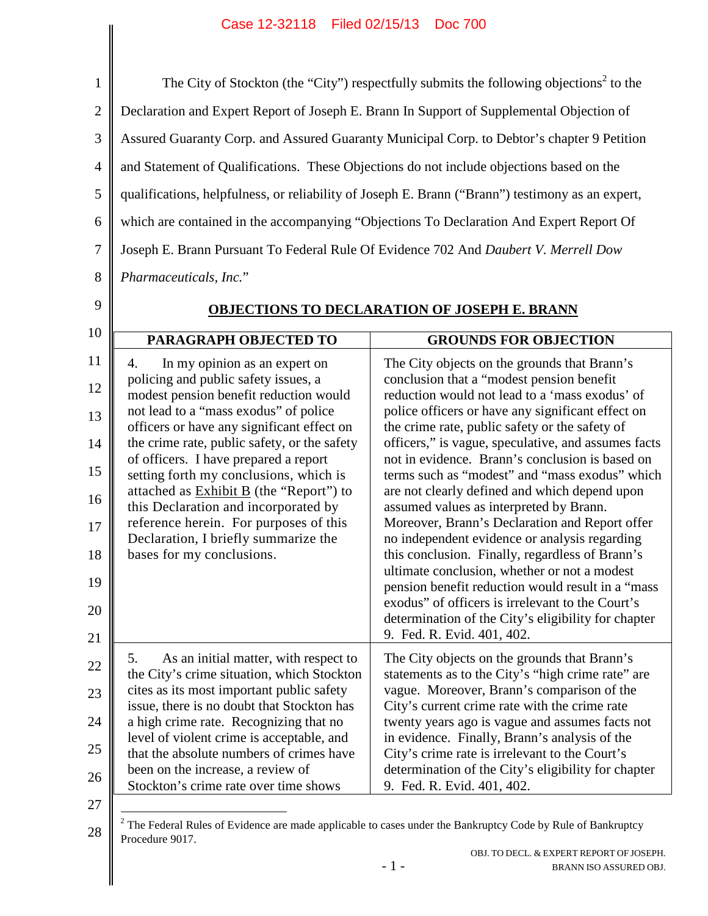## Case 12-32118 Filed 02/15/13 Doc 700

<span id="page-1-0"></span>

| $\mathbf{1}$   |                                                                                                  | The City of Stockton (the "City") respectfully submits the following objections <sup>2</sup> to the            |  |
|----------------|--------------------------------------------------------------------------------------------------|----------------------------------------------------------------------------------------------------------------|--|
| $\overline{2}$ | Declaration and Expert Report of Joseph E. Brann In Support of Supplemental Objection of         |                                                                                                                |  |
| 3              | Assured Guaranty Corp. and Assured Guaranty Municipal Corp. to Debtor's chapter 9 Petition       |                                                                                                                |  |
| $\overline{4}$ | and Statement of Qualifications. These Objections do not include objections based on the         |                                                                                                                |  |
| 5              | qualifications, helpfulness, or reliability of Joseph E. Brann ("Brann") testimony as an expert, |                                                                                                                |  |
| 6              | which are contained in the accompanying "Objections To Declaration And Expert Report Of          |                                                                                                                |  |
| $\tau$         | Joseph E. Brann Pursuant To Federal Rule Of Evidence 702 And Daubert V. Merrell Dow              |                                                                                                                |  |
| 8              | Pharmaceuticals, Inc."                                                                           |                                                                                                                |  |
| 9              |                                                                                                  | <b>OBJECTIONS TO DECLARATION OF JOSEPH E. BRANN</b>                                                            |  |
| 10             |                                                                                                  |                                                                                                                |  |
|                | PARAGRAPH OBJECTED TO                                                                            | <b>GROUNDS FOR OBJECTION</b>                                                                                   |  |
| 11             | In my opinion as an expert on<br>4.<br>policing and public safety issues, a                      | The City objects on the grounds that Brann's<br>conclusion that a "modest pension benefit                      |  |
| 12             | modest pension benefit reduction would                                                           | reduction would not lead to a 'mass exodus' of                                                                 |  |
| 13             | not lead to a "mass exodus" of police<br>officers or have any significant effect on              | police officers or have any significant effect on<br>the crime rate, public safety or the safety of            |  |
| 14             | the crime rate, public safety, or the safety                                                     | officers," is vague, speculative, and assumes facts<br>not in evidence. Brann's conclusion is based on         |  |
| 15             | of officers. I have prepared a report<br>setting forth my conclusions, which is                  | terms such as "modest" and "mass exodus" which                                                                 |  |
| 16             | attached as <b>Exhibit B</b> (the "Report") to<br>this Declaration and incorporated by           | are not clearly defined and which depend upon<br>assumed values as interpreted by Brann.                       |  |
| 17             | reference herein. For purposes of this                                                           | Moreover, Brann's Declaration and Report offer                                                                 |  |
| 18             | Declaration, I briefly summarize the<br>bases for my conclusions.                                | no independent evidence or analysis regarding<br>this conclusion. Finally, regardless of Brann's               |  |
| 19             |                                                                                                  | ultimate conclusion, whether or not a modest<br>pension benefit reduction would result in a "mass              |  |
| 20             |                                                                                                  | exodus" of officers is irrelevant to the Court's                                                               |  |
| 21             |                                                                                                  | determination of the City's eligibility for chapter<br>9. Fed. R. Evid. 401, 402.                              |  |
| 22             | As an initial matter, with respect to<br>5.                                                      | The City objects on the grounds that Brann's                                                                   |  |
| 23             | the City's crime situation, which Stockton<br>cites as its most important public safety          | statements as to the City's "high crime rate" are<br>vague. Moreover, Brann's comparison of the                |  |
| 24             | issue, there is no doubt that Stockton has<br>a high crime rate. Recognizing that no             | City's current crime rate with the crime rate<br>twenty years ago is vague and assumes facts not               |  |
| 25             | level of violent crime is acceptable, and                                                        | in evidence. Finally, Brann's analysis of the                                                                  |  |
|                | that the absolute numbers of crimes have<br>been on the increase, a review of                    | City's crime rate is irrelevant to the Court's<br>determination of the City's eligibility for chapter          |  |
| 26             | Stockton's crime rate over time shows                                                            | 9. Fed. R. Evid. 401, 402.                                                                                     |  |
| 27             |                                                                                                  | $2$ The Federal Rules of Evidence are made applicable to cases under the Bankruptcy Code by Rule of Bankruptcy |  |
| 28             | Procedure 9017.                                                                                  |                                                                                                                |  |
|                |                                                                                                  | OBJ. TO DECL. & EXPERT REPORT OF JOSEPH.<br>$-1-$<br>BRANN ISO ASSURED OBJ.                                    |  |
|                |                                                                                                  |                                                                                                                |  |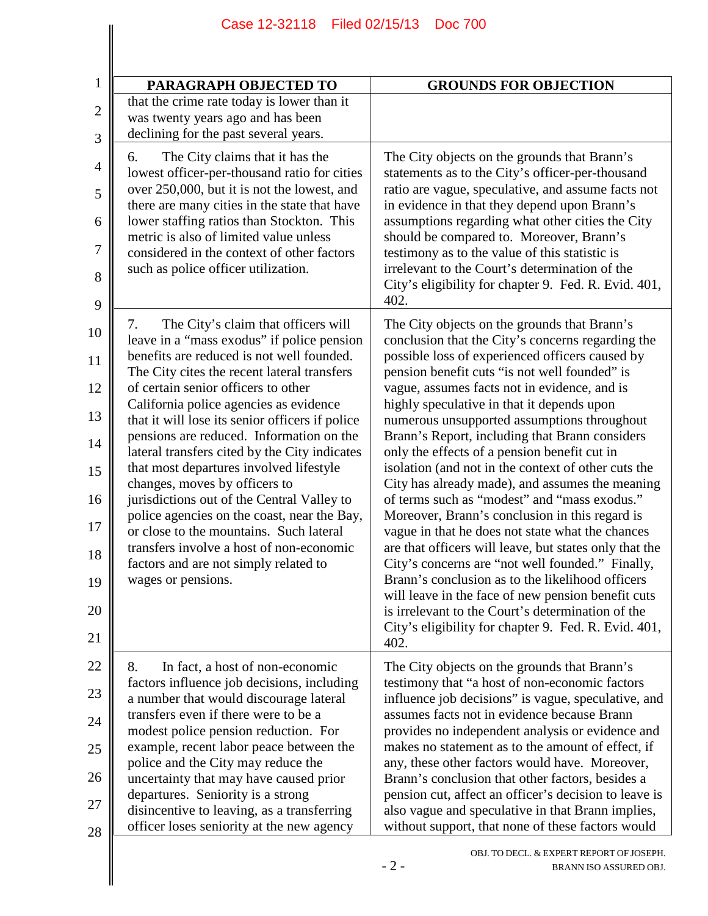| PARAGRAPH OBJECTED TO                                                                                                                                                                                                                                                                                                                                                                                                                                                                                                                                                                                                                                                                                                                               | <b>GROUNDS FOR OBJECTION</b>                                                                                                                                                                                                                                                                                                                                                                                                                                                                                                                                                                                                                                                                                                                                                                                                                                                                                                                                                                                                                                      |
|-----------------------------------------------------------------------------------------------------------------------------------------------------------------------------------------------------------------------------------------------------------------------------------------------------------------------------------------------------------------------------------------------------------------------------------------------------------------------------------------------------------------------------------------------------------------------------------------------------------------------------------------------------------------------------------------------------------------------------------------------------|-------------------------------------------------------------------------------------------------------------------------------------------------------------------------------------------------------------------------------------------------------------------------------------------------------------------------------------------------------------------------------------------------------------------------------------------------------------------------------------------------------------------------------------------------------------------------------------------------------------------------------------------------------------------------------------------------------------------------------------------------------------------------------------------------------------------------------------------------------------------------------------------------------------------------------------------------------------------------------------------------------------------------------------------------------------------|
| that the crime rate today is lower than it<br>was twenty years ago and has been<br>declining for the past several years.                                                                                                                                                                                                                                                                                                                                                                                                                                                                                                                                                                                                                            |                                                                                                                                                                                                                                                                                                                                                                                                                                                                                                                                                                                                                                                                                                                                                                                                                                                                                                                                                                                                                                                                   |
| The City claims that it has the<br>6.<br>lowest officer-per-thousand ratio for cities<br>over 250,000, but it is not the lowest, and<br>there are many cities in the state that have<br>lower staffing ratios than Stockton. This<br>metric is also of limited value unless<br>considered in the context of other factors<br>such as police officer utilization.                                                                                                                                                                                                                                                                                                                                                                                    | The City objects on the grounds that Brann's<br>statements as to the City's officer-per-thousand<br>ratio are vague, speculative, and assume facts not<br>in evidence in that they depend upon Brann's<br>assumptions regarding what other cities the City<br>should be compared to. Moreover, Brann's<br>testimony as to the value of this statistic is<br>irrelevant to the Court's determination of the<br>City's eligibility for chapter 9. Fed. R. Evid. 401,<br>402.                                                                                                                                                                                                                                                                                                                                                                                                                                                                                                                                                                                        |
| The City's claim that officers will<br>7.<br>leave in a "mass exodus" if police pension<br>benefits are reduced is not well founded.<br>The City cites the recent lateral transfers<br>of certain senior officers to other<br>California police agencies as evidence<br>that it will lose its senior officers if police<br>pensions are reduced. Information on the<br>lateral transfers cited by the City indicates<br>that most departures involved lifestyle<br>changes, moves by officers to<br>jurisdictions out of the Central Valley to<br>police agencies on the coast, near the Bay,<br>or close to the mountains. Such lateral<br>transfers involve a host of non-economic<br>factors and are not simply related to<br>wages or pensions. | The City objects on the grounds that Brann's<br>conclusion that the City's concerns regarding the<br>possible loss of experienced officers caused by<br>pension benefit cuts "is not well founded" is<br>vague, assumes facts not in evidence, and is<br>highly speculative in that it depends upon<br>numerous unsupported assumptions throughout<br>Brann's Report, including that Brann considers<br>only the effects of a pension benefit cut in<br>isolation (and not in the context of other cuts the<br>City has already made), and assumes the meaning<br>of terms such as "modest" and "mass exodus."<br>Moreover, Brann's conclusion in this regard is<br>vague in that he does not state what the chances<br>are that officers will leave, but states only that the<br>City's concerns are "not well founded." Finally,<br>Brann's conclusion as to the likelihood officers<br>will leave in the face of new pension benefit cuts<br>is irrelevant to the Court's determination of the<br>City's eligibility for chapter 9. Fed. R. Evid. 401,<br>402. |
| In fact, a host of non-economic<br>8.<br>factors influence job decisions, including<br>a number that would discourage lateral<br>transfers even if there were to be a<br>modest police pension reduction. For<br>example, recent labor peace between the<br>police and the City may reduce the<br>uncertainty that may have caused prior<br>departures. Seniority is a strong<br>disincentive to leaving, as a transferring<br>officer loses seniority at the new agency                                                                                                                                                                                                                                                                            | The City objects on the grounds that Brann's<br>testimony that "a host of non-economic factors<br>influence job decisions" is vague, speculative, and<br>assumes facts not in evidence because Brann<br>provides no independent analysis or evidence and<br>makes no statement as to the amount of effect, if<br>any, these other factors would have. Moreover,<br>Brann's conclusion that other factors, besides a<br>pension cut, affect an officer's decision to leave is<br>also vague and speculative in that Brann implies,<br>without support, that none of these factors would                                                                                                                                                                                                                                                                                                                                                                                                                                                                            |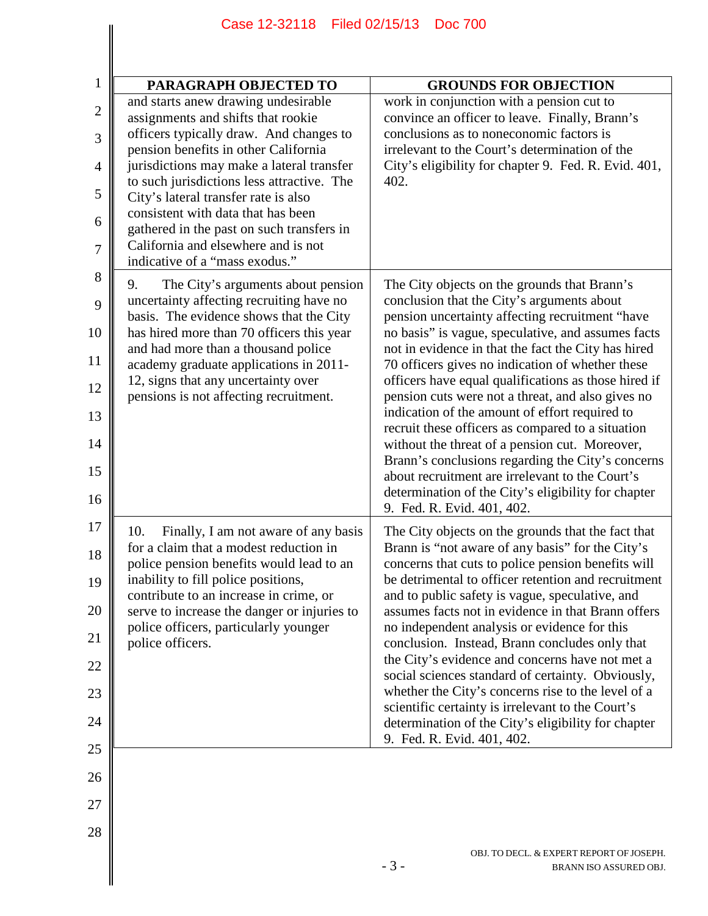| Case 12-32118 Filed 02/15/13<br><b>Doc 700</b>                                                                                                                                                                                                                                                                                                                                                              |                                                                                                                                                                                                                                                                                                                                                                                                                                                                                                                                                                                                                                                                                                                                        |
|-------------------------------------------------------------------------------------------------------------------------------------------------------------------------------------------------------------------------------------------------------------------------------------------------------------------------------------------------------------------------------------------------------------|----------------------------------------------------------------------------------------------------------------------------------------------------------------------------------------------------------------------------------------------------------------------------------------------------------------------------------------------------------------------------------------------------------------------------------------------------------------------------------------------------------------------------------------------------------------------------------------------------------------------------------------------------------------------------------------------------------------------------------------|
|                                                                                                                                                                                                                                                                                                                                                                                                             |                                                                                                                                                                                                                                                                                                                                                                                                                                                                                                                                                                                                                                                                                                                                        |
| PARAGRAPH OBJECTED TO<br>and starts anew drawing undesirable<br>assignments and shifts that rookie<br>officers typically draw. And changes to<br>pension benefits in other California<br>jurisdictions may make a lateral transfer<br>to such jurisdictions less attractive. The<br>City's lateral transfer rate is also<br>consistent with data that has been<br>gathered in the past on such transfers in | <b>GROUNDS FOR OBJECTION</b><br>work in conjunction with a pension cut to<br>convince an officer to leave. Finally, Brann's<br>conclusions as to noneconomic factors is<br>irrelevant to the Court's determination of the<br>City's eligibility for chapter 9. Fed. R. Evid. 401,<br>402.                                                                                                                                                                                                                                                                                                                                                                                                                                              |
| California and elsewhere and is not<br>indicative of a "mass exodus."<br>9.<br>The City's arguments about pension                                                                                                                                                                                                                                                                                           | The City objects on the grounds that Brann's                                                                                                                                                                                                                                                                                                                                                                                                                                                                                                                                                                                                                                                                                           |
| uncertainty affecting recruiting have no<br>basis. The evidence shows that the City<br>has hired more than 70 officers this year<br>and had more than a thousand police<br>academy graduate applications in 2011-<br>12, signs that any uncertainty over<br>pensions is not affecting recruitment.                                                                                                          | conclusion that the City's arguments about<br>pension uncertainty affecting recruitment "have<br>no basis" is vague, speculative, and assumes facts<br>not in evidence in that the fact the City has hired<br>70 officers gives no indication of whether these<br>officers have equal qualifications as those hired if<br>pension cuts were not a threat, and also gives no                                                                                                                                                                                                                                                                                                                                                            |
|                                                                                                                                                                                                                                                                                                                                                                                                             | indication of the amount of effort required to<br>recruit these officers as compared to a situation<br>without the threat of a pension cut. Moreover,<br>Brann's conclusions regarding the City's concerns<br>about recruitment are irrelevant to the Court's<br>determination of the City's eligibility for chapter<br>9. Fed. R. Evid. 401, 402.                                                                                                                                                                                                                                                                                                                                                                                     |
| 10.<br>Finally, I am not aware of any basis<br>for a claim that a modest reduction in<br>police pension benefits would lead to an<br>inability to fill police positions,<br>contribute to an increase in crime, or<br>serve to increase the danger or injuries to<br>police officers, particularly younger<br>police officers.                                                                              | The City objects on the grounds that the fact that<br>Brann is "not aware of any basis" for the City's<br>concerns that cuts to police pension benefits will<br>be detrimental to officer retention and recruitment<br>and to public safety is vague, speculative, and<br>assumes facts not in evidence in that Brann offers<br>no independent analysis or evidence for this<br>conclusion. Instead, Brann concludes only that<br>the City's evidence and concerns have not met a<br>social sciences standard of certainty. Obviously,<br>whether the City's concerns rise to the level of a<br>scientific certainty is irrelevant to the Court's<br>determination of the City's eligibility for chapter<br>9. Fed. R. Evid. 401, 402. |
|                                                                                                                                                                                                                                                                                                                                                                                                             | OBJ. TO DECL. & EXPERT REPORT OF JOSEPH.                                                                                                                                                                                                                                                                                                                                                                                                                                                                                                                                                                                                                                                                                               |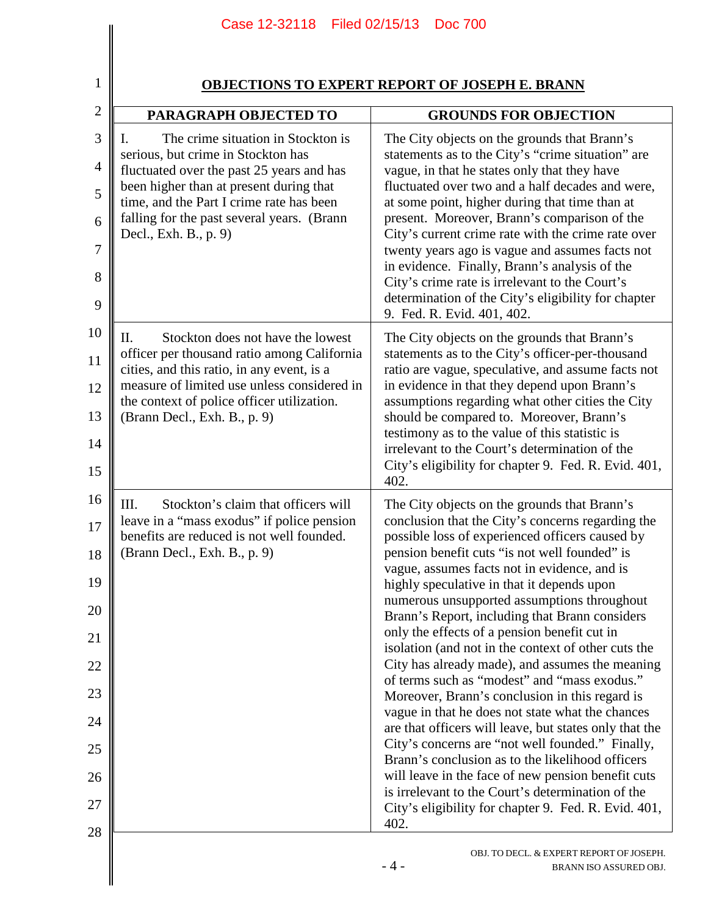| 1              |                                                                                                                                         | <b>OBJECTIONS TO EXPERT REPORT OF JOSEPH E. BRANN</b>                                                                                                  |
|----------------|-----------------------------------------------------------------------------------------------------------------------------------------|--------------------------------------------------------------------------------------------------------------------------------------------------------|
| $\overline{2}$ | PARAGRAPH OBJECTED TO                                                                                                                   | <b>GROUNDS FOR OBJECTION</b>                                                                                                                           |
| 3              | The crime situation in Stockton is                                                                                                      | The City objects on the grounds that Brann's                                                                                                           |
| $\overline{4}$ | serious, but crime in Stockton has<br>fluctuated over the past 25 years and has                                                         | statements as to the City's "crime situation" are<br>vague, in that he states only that they have                                                      |
| 5              | been higher than at present during that<br>time, and the Part I crime rate has been<br>falling for the past several years. (Brann       | fluctuated over two and a half decades and were,<br>at some point, higher during that time than at<br>present. Moreover, Brann's comparison of the     |
| 6<br>7         | Decl., Exh. B., p. 9)                                                                                                                   | City's current crime rate with the crime rate over<br>twenty years ago is vague and assumes facts not                                                  |
| 8              |                                                                                                                                         | in evidence. Finally, Brann's analysis of the<br>City's crime rate is irrelevant to the Court's                                                        |
| 9              |                                                                                                                                         | determination of the City's eligibility for chapter<br>9. Fed. R. Evid. 401, 402.                                                                      |
| 10<br>11       | Stockton does not have the lowest<br>П.<br>officer per thousand ratio among California                                                  | The City objects on the grounds that Brann's<br>statements as to the City's officer-per-thousand                                                       |
| 12             | cities, and this ratio, in any event, is a<br>measure of limited use unless considered in<br>the context of police officer utilization. | ratio are vague, speculative, and assume facts not<br>in evidence in that they depend upon Brann's<br>assumptions regarding what other cities the City |
| 13             | (Brann Decl., Exh. B., p. 9)                                                                                                            | should be compared to. Moreover, Brann's<br>testimony as to the value of this statistic is                                                             |
| 14<br>15       |                                                                                                                                         | irrelevant to the Court's determination of the<br>City's eligibility for chapter 9. Fed. R. Evid. 401,<br>402.                                         |
| 16             | Stockton's claim that officers will<br>Ш.                                                                                               | The City objects on the grounds that Brann's                                                                                                           |
| 17<br>18       | leave in a "mass exodus" if police pension<br>benefits are reduced is not well founded.<br>(Brann Decl., Exh. B., p. 9)                 | conclusion that the City's concerns regarding the<br>possible loss of experienced officers caused by<br>pension benefit cuts "is not well founded" is  |
| 19             |                                                                                                                                         | vague, assumes facts not in evidence, and is<br>highly speculative in that it depends upon                                                             |
| 20             |                                                                                                                                         | numerous unsupported assumptions throughout<br>Brann's Report, including that Brann considers                                                          |
| 21             |                                                                                                                                         | only the effects of a pension benefit cut in<br>isolation (and not in the context of other cuts the                                                    |
| 22             |                                                                                                                                         | City has already made), and assumes the meaning<br>of terms such as "modest" and "mass exodus."                                                        |
| 23<br>24       |                                                                                                                                         | Moreover, Brann's conclusion in this regard is<br>vague in that he does not state what the chances                                                     |
| 25             |                                                                                                                                         | are that officers will leave, but states only that the<br>City's concerns are "not well founded." Finally,                                             |
| 26             |                                                                                                                                         | Brann's conclusion as to the likelihood officers<br>will leave in the face of new pension benefit cuts                                                 |
| 27             |                                                                                                                                         | is irrelevant to the Court's determination of the<br>City's eligibility for chapter 9. Fed. R. Evid. 401,<br>402.                                      |
| 28             |                                                                                                                                         | OBJ. TO DECL. & EXPERT REPORT OF JOSEPH.<br>$-4-$<br>BRANN ISO ASSURED OBJ.                                                                            |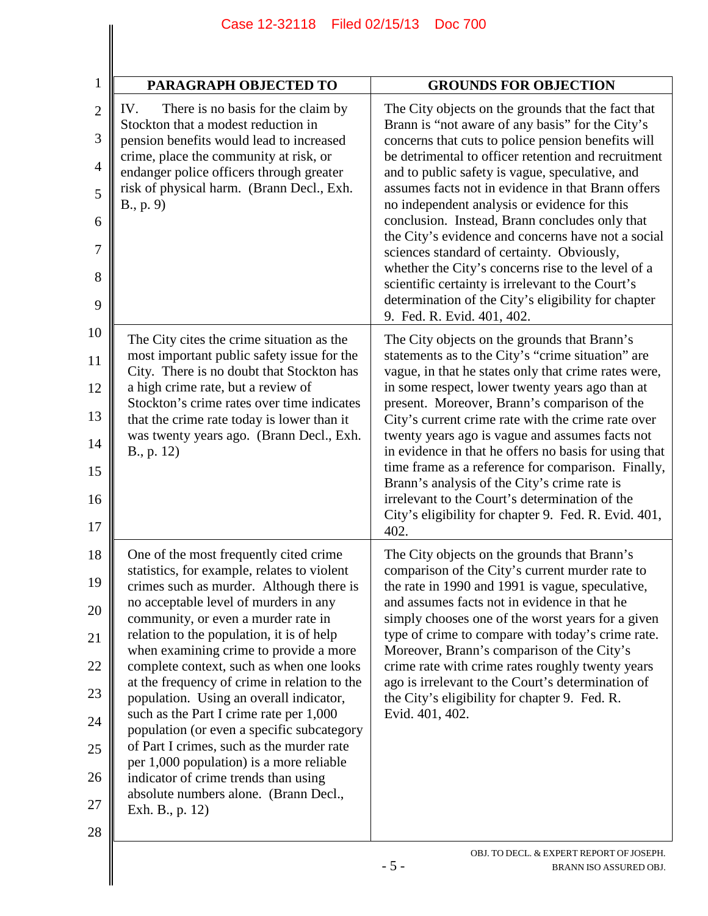| PARAGRAPH OBJECTED TO                                                                                                                                                                                                                                                                                                                                                                                                                                                                                                                                                                                                                                                                                                                 | <b>GROUNDS FOR OBJECTION</b>                                                                                                                                                                                                                                                                                                                                                                                                                                                                                                                                                                                                                                                                                                       |
|---------------------------------------------------------------------------------------------------------------------------------------------------------------------------------------------------------------------------------------------------------------------------------------------------------------------------------------------------------------------------------------------------------------------------------------------------------------------------------------------------------------------------------------------------------------------------------------------------------------------------------------------------------------------------------------------------------------------------------------|------------------------------------------------------------------------------------------------------------------------------------------------------------------------------------------------------------------------------------------------------------------------------------------------------------------------------------------------------------------------------------------------------------------------------------------------------------------------------------------------------------------------------------------------------------------------------------------------------------------------------------------------------------------------------------------------------------------------------------|
| There is no basis for the claim by<br>IV.<br>Stockton that a modest reduction in<br>pension benefits would lead to increased<br>crime, place the community at risk, or<br>endanger police officers through greater<br>risk of physical harm. (Brann Decl., Exh.<br>B., p. 9)                                                                                                                                                                                                                                                                                                                                                                                                                                                          | The City objects on the grounds that the fact that<br>Brann is "not aware of any basis" for the City's<br>concerns that cuts to police pension benefits will<br>be detrimental to officer retention and recruitment<br>and to public safety is vague, speculative, and<br>assumes facts not in evidence in that Brann offers<br>no independent analysis or evidence for this<br>conclusion. Instead, Brann concludes only that<br>the City's evidence and concerns have not a social<br>sciences standard of certainty. Obviously,<br>whether the City's concerns rise to the level of a<br>scientific certainty is irrelevant to the Court's<br>determination of the City's eligibility for chapter<br>9. Fed. R. Evid. 401, 402. |
| The City cites the crime situation as the<br>most important public safety issue for the<br>City. There is no doubt that Stockton has<br>a high crime rate, but a review of<br>Stockton's crime rates over time indicates<br>that the crime rate today is lower than it<br>was twenty years ago. (Brann Decl., Exh.<br>B., p. 12)                                                                                                                                                                                                                                                                                                                                                                                                      | The City objects on the grounds that Brann's<br>statements as to the City's "crime situation" are<br>vague, in that he states only that crime rates were,<br>in some respect, lower twenty years ago than at<br>present. Moreover, Brann's comparison of the<br>City's current crime rate with the crime rate over<br>twenty years ago is vague and assumes facts not<br>in evidence in that he offers no basis for using that<br>time frame as a reference for comparison. Finally,<br>Brann's analysis of the City's crime rate is<br>irrelevant to the Court's determination of the<br>City's eligibility for chapter 9. Fed. R. Evid. 401,<br>402.                                                                             |
| One of the most frequently cited crime<br>statistics, for example, relates to violent<br>crimes such as murder. Although there is<br>no acceptable level of murders in any<br>community, or even a murder rate in<br>relation to the population, it is of help<br>when examining crime to provide a more<br>complete context, such as when one looks<br>at the frequency of crime in relation to the<br>population. Using an overall indicator,<br>such as the Part I crime rate per 1,000<br>population (or even a specific subcategory<br>of Part I crimes, such as the murder rate<br>per 1,000 population) is a more reliable<br>indicator of crime trends than using<br>absolute numbers alone. (Brann Decl.,<br>Exh. B., p. 12) | The City objects on the grounds that Brann's<br>comparison of the City's current murder rate to<br>the rate in 1990 and 1991 is vague, speculative,<br>and assumes facts not in evidence in that he<br>simply chooses one of the worst years for a given<br>type of crime to compare with today's crime rate.<br>Moreover, Brann's comparison of the City's<br>crime rate with crime rates roughly twenty years<br>ago is irrelevant to the Court's determination of<br>the City's eligibility for chapter 9. Fed. R.<br>Evid. 401, 402.                                                                                                                                                                                           |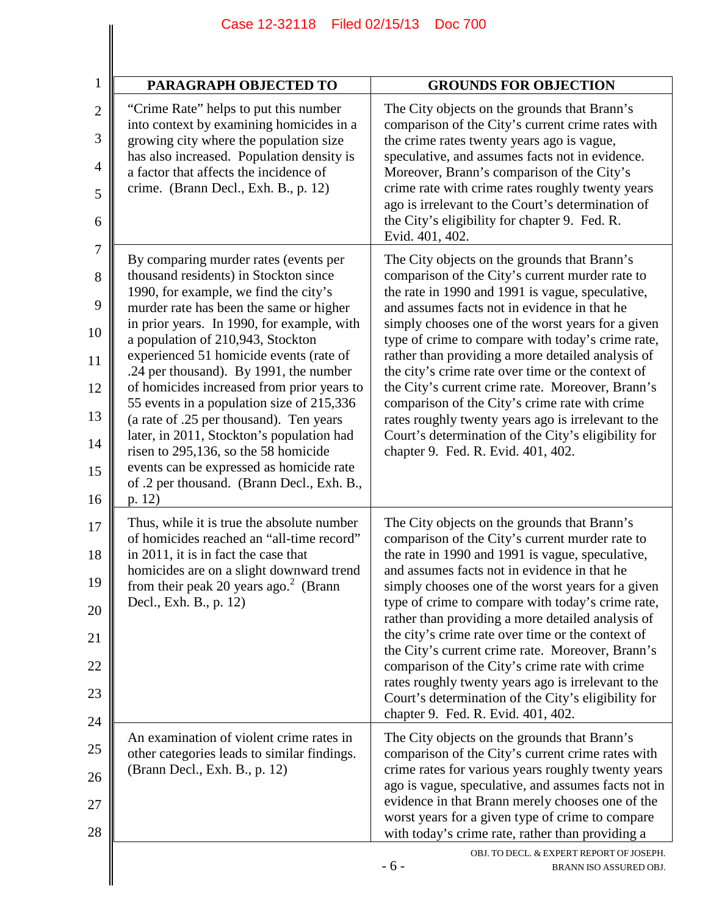| PARAGRAPH OBJECTED TO                                                                                                                                                                                                                                                                                                                                                                                                                                                                                                                                                                                                                                                     | <b>GROUNDS FOR OBJECTION</b>                                                                                                                                                                                                                                                                                                                                                                                                                                                                                                                                                                                                                                                      |
|---------------------------------------------------------------------------------------------------------------------------------------------------------------------------------------------------------------------------------------------------------------------------------------------------------------------------------------------------------------------------------------------------------------------------------------------------------------------------------------------------------------------------------------------------------------------------------------------------------------------------------------------------------------------------|-----------------------------------------------------------------------------------------------------------------------------------------------------------------------------------------------------------------------------------------------------------------------------------------------------------------------------------------------------------------------------------------------------------------------------------------------------------------------------------------------------------------------------------------------------------------------------------------------------------------------------------------------------------------------------------|
| "Crime Rate" helps to put this number<br>into context by examining homicides in a<br>growing city where the population size<br>has also increased. Population density is<br>a factor that affects the incidence of<br>crime. (Brann Decl., Exh. B., p. 12)                                                                                                                                                                                                                                                                                                                                                                                                                | The City objects on the grounds that Brann's<br>comparison of the City's current crime rates with<br>the crime rates twenty years ago is vague,<br>speculative, and assumes facts not in evidence.<br>Moreover, Brann's comparison of the City's<br>crime rate with crime rates roughly twenty years<br>ago is irrelevant to the Court's determination of<br>the City's eligibility for chapter 9. Fed. R.<br>Evid. 401, 402.                                                                                                                                                                                                                                                     |
| By comparing murder rates (events per<br>thousand residents) in Stockton since<br>1990, for example, we find the city's<br>murder rate has been the same or higher<br>in prior years. In 1990, for example, with<br>a population of 210,943, Stockton<br>experienced 51 homicide events (rate of<br>.24 per thousand). By 1991, the number<br>of homicides increased from prior years to<br>55 events in a population size of 215,336<br>(a rate of .25 per thousand). Ten years<br>later, in 2011, Stockton's population had<br>risen to 295,136, so the 58 homicide<br>events can be expressed as homicide rate<br>of .2 per thousand. (Brann Decl., Exh. B.,<br>p. 12) | The City objects on the grounds that Brann's<br>comparison of the City's current murder rate to<br>the rate in 1990 and 1991 is vague, speculative,<br>and assumes facts not in evidence in that he<br>simply chooses one of the worst years for a given<br>type of crime to compare with today's crime rate,<br>rather than providing a more detailed analysis of<br>the city's crime rate over time or the context of<br>the City's current crime rate. Moreover, Brann's<br>comparison of the City's crime rate with crime<br>rates roughly twenty years ago is irrelevant to the<br>Court's determination of the City's eligibility for<br>chapter 9. Fed. R. Evid. 401, 402. |
| Thus, while it is true the absolute number<br>of homicides reached an "all-time record"<br>in 2011, it is in fact the case that<br>homicides are on a slight downward trend<br>from their peak 20 years ago. $2$ (Brann<br>Decl., Exh. B., p. 12)                                                                                                                                                                                                                                                                                                                                                                                                                         | The City objects on the grounds that Brann's<br>comparison of the City's current murder rate to<br>the rate in 1990 and 1991 is vague, speculative,<br>and assumes facts not in evidence in that he<br>simply chooses one of the worst years for a given<br>type of crime to compare with today's crime rate,<br>rather than providing a more detailed analysis of<br>the city's crime rate over time or the context of<br>the City's current crime rate. Moreover, Brann's<br>comparison of the City's crime rate with crime<br>rates roughly twenty years ago is irrelevant to the<br>Court's determination of the City's eligibility for<br>chapter 9. Fed. R. Evid. 401, 402. |
| An examination of violent crime rates in<br>other categories leads to similar findings.<br>(Brann Decl., Exh. B., p. 12)                                                                                                                                                                                                                                                                                                                                                                                                                                                                                                                                                  | The City objects on the grounds that Brann's<br>comparison of the City's current crime rates with<br>crime rates for various years roughly twenty years<br>ago is vague, speculative, and assumes facts not in<br>evidence in that Brann merely chooses one of the<br>worst years for a given type of crime to compare<br>with today's crime rate, rather than providing a                                                                                                                                                                                                                                                                                                        |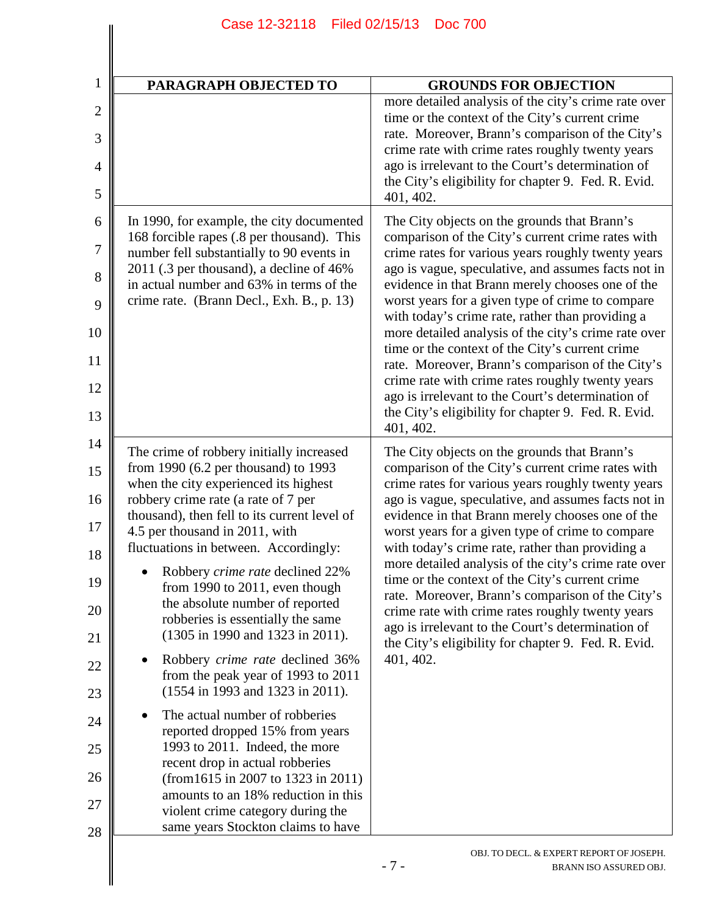| $\mathbf 1$                                                                      | PARAGRAPH OBJECTED TO                                                                                                                                                                                                                                                                                                                                                                                                                                                                                                                                                                                                                                                                                                                                                                                                                                                                           | <b>GROUNDS FOR OBJECTION</b>                                                                                                                                                                                                                                                                                                                                                                                                                                                                                                                                                                                                                                                                                           |
|----------------------------------------------------------------------------------|-------------------------------------------------------------------------------------------------------------------------------------------------------------------------------------------------------------------------------------------------------------------------------------------------------------------------------------------------------------------------------------------------------------------------------------------------------------------------------------------------------------------------------------------------------------------------------------------------------------------------------------------------------------------------------------------------------------------------------------------------------------------------------------------------------------------------------------------------------------------------------------------------|------------------------------------------------------------------------------------------------------------------------------------------------------------------------------------------------------------------------------------------------------------------------------------------------------------------------------------------------------------------------------------------------------------------------------------------------------------------------------------------------------------------------------------------------------------------------------------------------------------------------------------------------------------------------------------------------------------------------|
| $\overline{2}$<br>3                                                              |                                                                                                                                                                                                                                                                                                                                                                                                                                                                                                                                                                                                                                                                                                                                                                                                                                                                                                 | more detailed analysis of the city's crime rate over<br>time or the context of the City's current crime<br>rate. Moreover, Brann's comparison of the City's                                                                                                                                                                                                                                                                                                                                                                                                                                                                                                                                                            |
| 4                                                                                |                                                                                                                                                                                                                                                                                                                                                                                                                                                                                                                                                                                                                                                                                                                                                                                                                                                                                                 | crime rate with crime rates roughly twenty years<br>ago is irrelevant to the Court's determination of<br>the City's eligibility for chapter 9. Fed. R. Evid.                                                                                                                                                                                                                                                                                                                                                                                                                                                                                                                                                           |
| 5                                                                                |                                                                                                                                                                                                                                                                                                                                                                                                                                                                                                                                                                                                                                                                                                                                                                                                                                                                                                 | 401, 402.                                                                                                                                                                                                                                                                                                                                                                                                                                                                                                                                                                                                                                                                                                              |
| 6                                                                                | In 1990, for example, the city documented<br>168 forcible rapes (.8 per thousand). This                                                                                                                                                                                                                                                                                                                                                                                                                                                                                                                                                                                                                                                                                                                                                                                                         | The City objects on the grounds that Brann's<br>comparison of the City's current crime rates with                                                                                                                                                                                                                                                                                                                                                                                                                                                                                                                                                                                                                      |
| 7<br>8                                                                           | number fell substantially to 90 events in<br>2011 (.3 per thousand), a decline of 46%                                                                                                                                                                                                                                                                                                                                                                                                                                                                                                                                                                                                                                                                                                                                                                                                           | crime rates for various years roughly twenty years<br>ago is vague, speculative, and assumes facts not in                                                                                                                                                                                                                                                                                                                                                                                                                                                                                                                                                                                                              |
| 9                                                                                | in actual number and 63% in terms of the<br>crime rate. (Brann Decl., Exh. B., p. 13)                                                                                                                                                                                                                                                                                                                                                                                                                                                                                                                                                                                                                                                                                                                                                                                                           | evidence in that Brann merely chooses one of the<br>worst years for a given type of crime to compare<br>with today's crime rate, rather than providing a                                                                                                                                                                                                                                                                                                                                                                                                                                                                                                                                                               |
| 10                                                                               |                                                                                                                                                                                                                                                                                                                                                                                                                                                                                                                                                                                                                                                                                                                                                                                                                                                                                                 | more detailed analysis of the city's crime rate over<br>time or the context of the City's current crime                                                                                                                                                                                                                                                                                                                                                                                                                                                                                                                                                                                                                |
| 11                                                                               |                                                                                                                                                                                                                                                                                                                                                                                                                                                                                                                                                                                                                                                                                                                                                                                                                                                                                                 | rate. Moreover, Brann's comparison of the City's<br>crime rate with crime rates roughly twenty years                                                                                                                                                                                                                                                                                                                                                                                                                                                                                                                                                                                                                   |
| 12<br>13                                                                         |                                                                                                                                                                                                                                                                                                                                                                                                                                                                                                                                                                                                                                                                                                                                                                                                                                                                                                 | ago is irrelevant to the Court's determination of<br>the City's eligibility for chapter 9. Fed. R. Evid.<br>401, 402.                                                                                                                                                                                                                                                                                                                                                                                                                                                                                                                                                                                                  |
| 14<br>15<br>16<br>17<br>18<br>19<br>20<br>21<br>22<br>23<br>24<br>25<br>26<br>27 | The crime of robbery initially increased<br>from 1990 (6.2 per thousand) to 1993<br>when the city experienced its highest<br>robbery crime rate (a rate of 7 per<br>thousand), then fell to its current level of<br>4.5 per thousand in 2011, with<br>fluctuations in between. Accordingly:<br>Robbery crime rate declined 22%<br>from 1990 to $2011$ , even though<br>the absolute number of reported<br>robberies is essentially the same<br>(1305 in 1990 and 1323 in 2011).<br>Robbery crime rate declined 36%<br>from the peak year of 1993 to 2011<br>(1554 in 1993 and 1323 in 2011).<br>The actual number of robberies<br>reported dropped 15% from years<br>1993 to 2011. Indeed, the more<br>recent drop in actual robberies<br>(from 1615 in 2007 to 1323 in 2011)<br>amounts to an 18% reduction in this<br>violent crime category during the<br>same years Stockton claims to have | The City objects on the grounds that Brann's<br>comparison of the City's current crime rates with<br>crime rates for various years roughly twenty years<br>ago is vague, speculative, and assumes facts not in<br>evidence in that Brann merely chooses one of the<br>worst years for a given type of crime to compare<br>with today's crime rate, rather than providing a<br>more detailed analysis of the city's crime rate over<br>time or the context of the City's current crime<br>rate. Moreover, Brann's comparison of the City's<br>crime rate with crime rates roughly twenty years<br>ago is irrelevant to the Court's determination of<br>the City's eligibility for chapter 9. Fed. R. Evid.<br>401, 402. |
| 28                                                                               |                                                                                                                                                                                                                                                                                                                                                                                                                                                                                                                                                                                                                                                                                                                                                                                                                                                                                                 | OBJ. TO DECL. & EXPERT REPORT OF JOSEPH.<br>$-7-$<br>BRANN ISO ASSURED OBJ.                                                                                                                                                                                                                                                                                                                                                                                                                                                                                                                                                                                                                                            |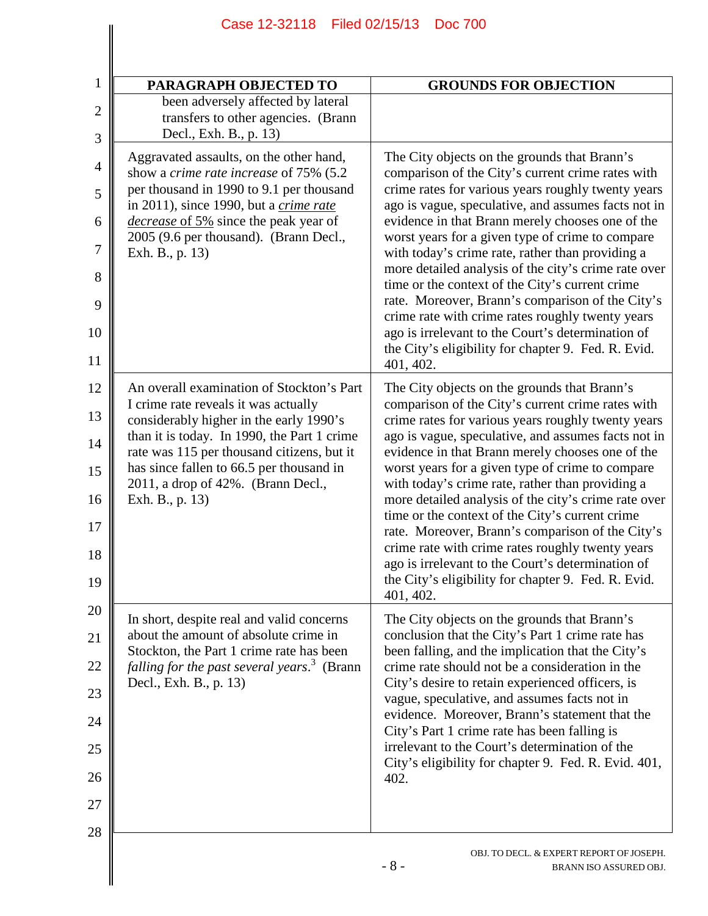| PARAGRAPH OBJECTED TO                                                                                                                                                                                                                                                                                                          | <b>GROUNDS FOR OBJECTION</b>                                                                                                                                                                                                                                                                                                                                                                                                                                                                                                                                                                                                                                                                                           |
|--------------------------------------------------------------------------------------------------------------------------------------------------------------------------------------------------------------------------------------------------------------------------------------------------------------------------------|------------------------------------------------------------------------------------------------------------------------------------------------------------------------------------------------------------------------------------------------------------------------------------------------------------------------------------------------------------------------------------------------------------------------------------------------------------------------------------------------------------------------------------------------------------------------------------------------------------------------------------------------------------------------------------------------------------------------|
| been adversely affected by lateral<br>transfers to other agencies. (Brann<br>Decl., Exh. B., p. 13)                                                                                                                                                                                                                            |                                                                                                                                                                                                                                                                                                                                                                                                                                                                                                                                                                                                                                                                                                                        |
| Aggravated assaults, on the other hand,<br>show a crime rate increase of 75% (5.2)<br>per thousand in 1990 to 9.1 per thousand<br>in 2011), since 1990, but a crime rate<br>decrease of 5% since the peak year of<br>2005 (9.6 per thousand). (Brann Decl.,<br>Exh. B., p. 13)                                                 | The City objects on the grounds that Brann's<br>comparison of the City's current crime rates with<br>crime rates for various years roughly twenty years<br>ago is vague, speculative, and assumes facts not in<br>evidence in that Brann merely chooses one of the<br>worst years for a given type of crime to compare<br>with today's crime rate, rather than providing a<br>more detailed analysis of the city's crime rate over<br>time or the context of the City's current crime<br>rate. Moreover, Brann's comparison of the City's<br>crime rate with crime rates roughly twenty years<br>ago is irrelevant to the Court's determination of<br>the City's eligibility for chapter 9. Fed. R. Evid.<br>401, 402. |
| An overall examination of Stockton's Part<br>I crime rate reveals it was actually<br>considerably higher in the early 1990's<br>than it is today. In 1990, the Part 1 crime<br>rate was 115 per thousand citizens, but it<br>has since fallen to 66.5 per thousand in<br>2011, a drop of 42%. (Brann Decl.,<br>Exh. B., p. 13) | The City objects on the grounds that Brann's<br>comparison of the City's current crime rates with<br>crime rates for various years roughly twenty years<br>ago is vague, speculative, and assumes facts not in<br>evidence in that Brann merely chooses one of the<br>worst years for a given type of crime to compare<br>with today's crime rate, rather than providing a<br>more detailed analysis of the city's crime rate over<br>time or the context of the City's current crime<br>rate. Moreover, Brann's comparison of the City's<br>crime rate with crime rates roughly twenty years<br>ago is irrelevant to the Court's determination of<br>the City's eligibility for chapter 9. Fed. R. Evid.<br>401, 402. |
| In short, despite real and valid concerns<br>about the amount of absolute crime in<br>Stockton, the Part 1 crime rate has been<br><i>falling for the past several years.</i> <sup>3</sup> (Brann<br>Decl., Exh. B., p. 13)                                                                                                     | The City objects on the grounds that Brann's<br>conclusion that the City's Part 1 crime rate has<br>been falling, and the implication that the City's<br>crime rate should not be a consideration in the<br>City's desire to retain experienced officers, is<br>vague, speculative, and assumes facts not in<br>evidence. Moreover, Brann's statement that the<br>City's Part 1 crime rate has been falling is<br>irrelevant to the Court's determination of the<br>City's eligibility for chapter 9. Fed. R. Evid. 401,<br>402.                                                                                                                                                                                       |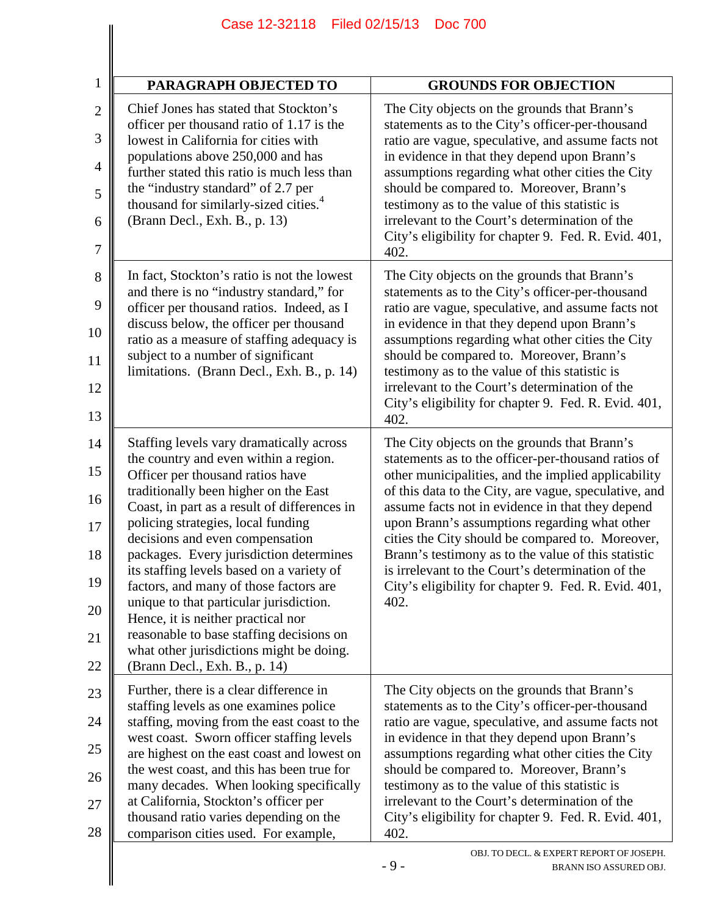| Filed 02/15/13<br>Case 12-32118<br><b>Doc 700</b>                                                                                                                                                                                                                                                                                                                                                                                                                                                                                                                                                                                   |                                                                                                                                                                                                                                                                                                                                                                                                                                                                                                                                                          |
|-------------------------------------------------------------------------------------------------------------------------------------------------------------------------------------------------------------------------------------------------------------------------------------------------------------------------------------------------------------------------------------------------------------------------------------------------------------------------------------------------------------------------------------------------------------------------------------------------------------------------------------|----------------------------------------------------------------------------------------------------------------------------------------------------------------------------------------------------------------------------------------------------------------------------------------------------------------------------------------------------------------------------------------------------------------------------------------------------------------------------------------------------------------------------------------------------------|
| PARAGRAPH OBJECTED TO                                                                                                                                                                                                                                                                                                                                                                                                                                                                                                                                                                                                               | <b>GROUNDS FOR OBJECTION</b>                                                                                                                                                                                                                                                                                                                                                                                                                                                                                                                             |
| Chief Jones has stated that Stockton's<br>officer per thousand ratio of 1.17 is the<br>lowest in California for cities with<br>populations above 250,000 and has<br>further stated this ratio is much less than<br>the "industry standard" of 2.7 per<br>thousand for similarly-sized cities. <sup>4</sup><br>(Brann Decl., Exh. B., p. 13)                                                                                                                                                                                                                                                                                         | The City objects on the grounds that Brann's<br>statements as to the City's officer-per-thousand<br>ratio are vague, speculative, and assume facts not<br>in evidence in that they depend upon Brann's<br>assumptions regarding what other cities the City<br>should be compared to. Moreover, Brann's<br>testimony as to the value of this statistic is<br>irrelevant to the Court's determination of the<br>City's eligibility for chapter 9. Fed. R. Evid. 401,<br>402.                                                                               |
| In fact, Stockton's ratio is not the lowest<br>and there is no "industry standard," for<br>officer per thousand ratios. Indeed, as I<br>discuss below, the officer per thousand<br>ratio as a measure of staffing adequacy is<br>subject to a number of significant<br>limitations. (Brann Decl., Exh. B., p. 14)                                                                                                                                                                                                                                                                                                                   | The City objects on the grounds that Brann's<br>statements as to the City's officer-per-thousand<br>ratio are vague, speculative, and assume facts not<br>in evidence in that they depend upon Brann's<br>assumptions regarding what other cities the City<br>should be compared to. Moreover, Brann's<br>testimony as to the value of this statistic is<br>irrelevant to the Court's determination of the<br>City's eligibility for chapter 9. Fed. R. Evid. 401,<br>402.                                                                               |
| Staffing levels vary dramatically across<br>the country and even within a region.<br>Officer per thousand ratios have<br>traditionally been higher on the East<br>Coast, in part as a result of differences in<br>policing strategies, local funding<br>decisions and even compensation<br>packages. Every jurisdiction determines<br>its staffing levels based on a variety of<br>factors, and many of those factors are<br>unique to that particular jurisdiction.<br>Hence, it is neither practical nor<br>reasonable to base staffing decisions on<br>what other jurisdictions might be doing.<br>(Brann Decl., Exh. B., p. 14) | The City objects on the grounds that Brann's<br>statements as to the officer-per-thousand ratios of<br>other municipalities, and the implied applicability<br>of this data to the City, are vague, speculative, and<br>assume facts not in evidence in that they depend<br>upon Brann's assumptions regarding what other<br>cities the City should be compared to. Moreover,<br>Brann's testimony as to the value of this statistic<br>is irrelevant to the Court's determination of the<br>City's eligibility for chapter 9. Fed. R. Evid. 401,<br>402. |
| Further, there is a clear difference in<br>staffing levels as one examines police<br>staffing, moving from the east coast to the<br>west coast. Sworn officer staffing levels<br>are highest on the east coast and lowest on<br>the west coast, and this has been true for<br>many decades. When looking specifically<br>at California, Stockton's officer per<br>thousand ratio varies depending on the<br>comparison cities used. For example,                                                                                                                                                                                    | The City objects on the grounds that Brann's<br>statements as to the City's officer-per-thousand<br>ratio are vague, speculative, and assume facts not<br>in evidence in that they depend upon Brann's<br>assumptions regarding what other cities the City<br>should be compared to. Moreover, Brann's<br>testimony as to the value of this statistic is<br>irrelevant to the Court's determination of the<br>City's eligibility for chapter 9. Fed. R. Evid. 401,<br>402.                                                                               |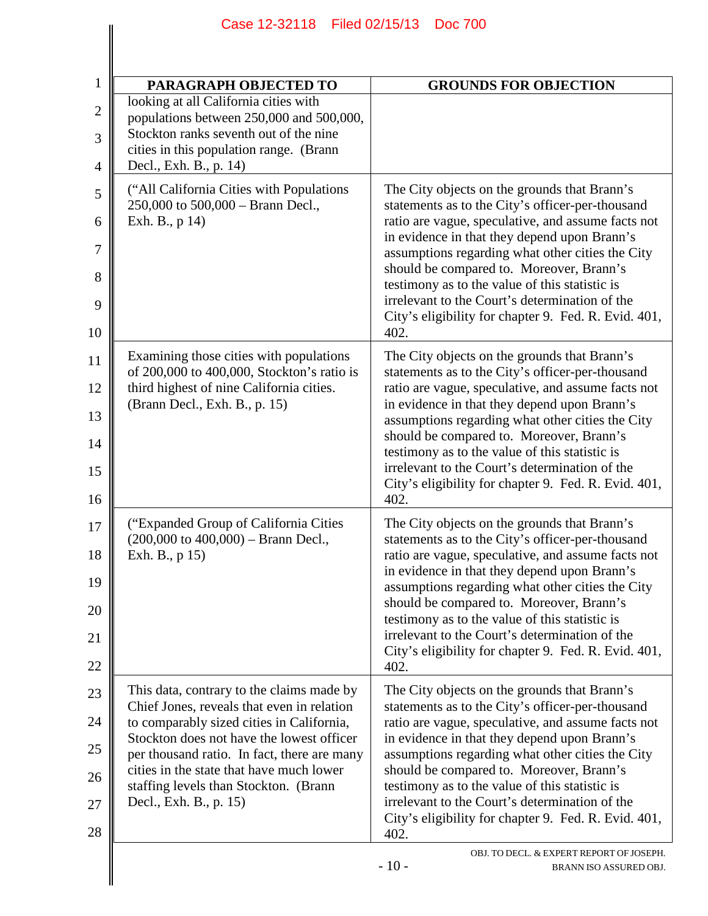|                 | Case 12-32118   Filed 02/15/13   Doc 700                                                                                                                               |                                                                                                                                                        |
|-----------------|------------------------------------------------------------------------------------------------------------------------------------------------------------------------|--------------------------------------------------------------------------------------------------------------------------------------------------------|
|                 |                                                                                                                                                                        |                                                                                                                                                        |
| $\mathbf{1}$    | PARAGRAPH OBJECTED TO                                                                                                                                                  | <b>GROUNDS FOR OBJECTION</b>                                                                                                                           |
| $\sqrt{2}$<br>3 | looking at all California cities with<br>populations between 250,000 and 500,000,<br>Stockton ranks seventh out of the nine<br>cities in this population range. (Brann |                                                                                                                                                        |
| 4               | Decl., Exh. B., p. 14)                                                                                                                                                 |                                                                                                                                                        |
| 5               | ("All California Cities with Populations"<br>250,000 to 500,000 - Brann Decl.,                                                                                         | The City objects on the grounds that Brann's<br>statements as to the City's officer-per-thousand                                                       |
| 6<br>7          | Exh. B., p 14)                                                                                                                                                         | ratio are vague, speculative, and assume facts not<br>in evidence in that they depend upon Brann's<br>assumptions regarding what other cities the City |
| 8               |                                                                                                                                                                        | should be compared to. Moreover, Brann's<br>testimony as to the value of this statistic is                                                             |
| 9               |                                                                                                                                                                        | irrelevant to the Court's determination of the<br>City's eligibility for chapter 9. Fed. R. Evid. 401,                                                 |
| 10              |                                                                                                                                                                        | 402.                                                                                                                                                   |
| 11<br>12        | Examining those cities with populations<br>of 200,000 to 400,000, Stockton's ratio is<br>third highest of nine California cities.                                      | The City objects on the grounds that Brann's<br>statements as to the City's officer-per-thousand<br>ratio are vague, speculative, and assume facts not |
| 13              | (Brann Decl., Exh. B., p. 15)                                                                                                                                          | in evidence in that they depend upon Brann's<br>assumptions regarding what other cities the City                                                       |
| 14              |                                                                                                                                                                        | should be compared to. Moreover, Brann's<br>testimony as to the value of this statistic is                                                             |
| 15<br>16        |                                                                                                                                                                        | irrelevant to the Court's determination of the<br>City's eligibility for chapter 9. Fed. R. Evid. 401,<br>402.                                         |
| 17              | ("Expanded Group of California Cities                                                                                                                                  | The City objects on the grounds that Brann's                                                                                                           |
| 18              | $(200,000 \text{ to } 400,000) -$ Brann Decl.,<br>Exh. B., p 15)                                                                                                       | statements as to the City's officer-per-thousand<br>ratio are vague, speculative, and assume facts not<br>in evidence in that they depend upon Brann's |
| 19<br>20        |                                                                                                                                                                        | assumptions regarding what other cities the City<br>should be compared to. Moreover, Brann's                                                           |
| 21              |                                                                                                                                                                        | testimony as to the value of this statistic is<br>irrelevant to the Court's determination of the                                                       |
| 22              |                                                                                                                                                                        | City's eligibility for chapter 9. Fed. R. Evid. 401,<br>402.                                                                                           |
| 23              | This data, contrary to the claims made by<br>Chief Jones, reveals that even in relation                                                                                | The City objects on the grounds that Brann's<br>statements as to the City's officer-per-thousand                                                       |
| 24              | to comparably sized cities in California,<br>Stockton does not have the lowest officer                                                                                 | ratio are vague, speculative, and assume facts not<br>in evidence in that they depend upon Brann's                                                     |
| 25<br>26        | per thousand ratio. In fact, there are many<br>cities in the state that have much lower                                                                                | assumptions regarding what other cities the City<br>should be compared to. Moreover, Brann's                                                           |
| 27              | staffing levels than Stockton. (Brann<br>Decl., Exh. B., p. 15)                                                                                                        | testimony as to the value of this statistic is<br>irrelevant to the Court's determination of the                                                       |
| 28              |                                                                                                                                                                        | City's eligibility for chapter 9. Fed. R. Evid. 401,<br>402.                                                                                           |
|                 |                                                                                                                                                                        | OBJ. TO DECL. & EXPERT REPORT OF JOSEPH.<br>$-10-$<br>BRANN ISO ASSURED OBJ.                                                                           |

Case 12-32118 Filed 02/15/13 Doc 700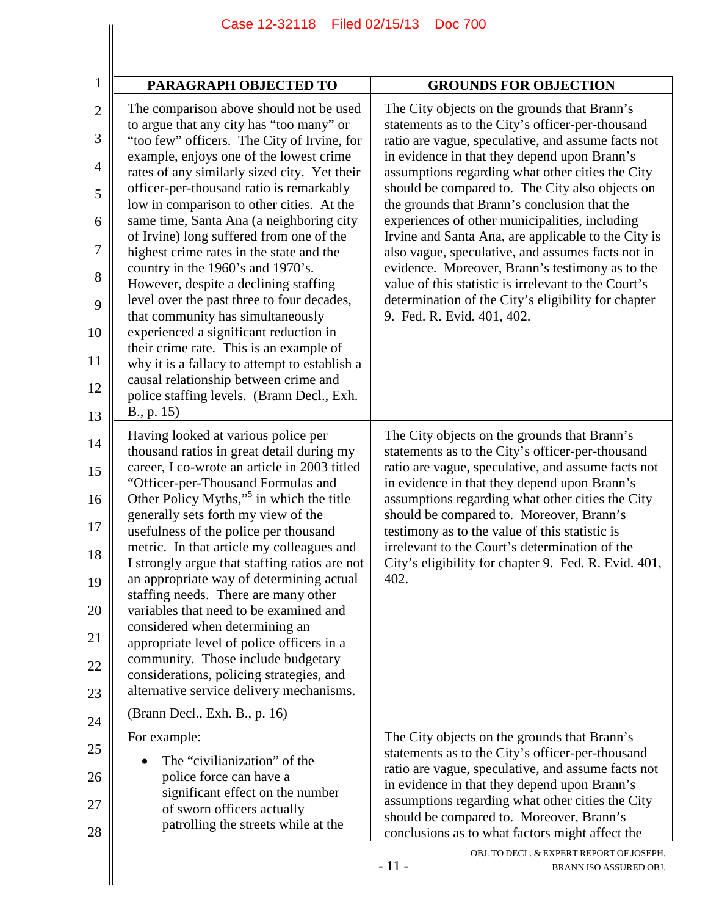| PARAGRAPH OBJECTED TO                                                                                                                                                                                                                                                                                                                                                                                                                                                                                                                                                                                                                                                                                                                                                                                                                                                  | <b>GROUNDS FOR OBJECTION</b>                                                                                                                                                                                                                                                                                                                                                                                                                                                                                                                                                                                                                                                                                                |
|------------------------------------------------------------------------------------------------------------------------------------------------------------------------------------------------------------------------------------------------------------------------------------------------------------------------------------------------------------------------------------------------------------------------------------------------------------------------------------------------------------------------------------------------------------------------------------------------------------------------------------------------------------------------------------------------------------------------------------------------------------------------------------------------------------------------------------------------------------------------|-----------------------------------------------------------------------------------------------------------------------------------------------------------------------------------------------------------------------------------------------------------------------------------------------------------------------------------------------------------------------------------------------------------------------------------------------------------------------------------------------------------------------------------------------------------------------------------------------------------------------------------------------------------------------------------------------------------------------------|
| The comparison above should not be used<br>to argue that any city has "too many" or<br>"too few" officers. The City of Irvine, for<br>example, enjoys one of the lowest crime<br>rates of any similarly sized city. Yet their<br>officer-per-thousand ratio is remarkably<br>low in comparison to other cities. At the<br>same time, Santa Ana (a neighboring city<br>of Irvine) long suffered from one of the<br>highest crime rates in the state and the<br>country in the 1960's and 1970's.<br>However, despite a declining staffing<br>level over the past three to four decades,<br>that community has simultaneously<br>experienced a significant reduction in<br>their crime rate. This is an example of<br>why it is a fallacy to attempt to establish a<br>causal relationship between crime and<br>police staffing levels. (Brann Decl., Exh.<br>B., p. 15) | The City objects on the grounds that Brann's<br>statements as to the City's officer-per-thousand<br>ratio are vague, speculative, and assume facts not<br>in evidence in that they depend upon Brann's<br>assumptions regarding what other cities the City<br>should be compared to. The City also objects on<br>the grounds that Brann's conclusion that the<br>experiences of other municipalities, including<br>Irvine and Santa Ana, are applicable to the City is<br>also vague, speculative, and assumes facts not in<br>evidence. Moreover, Brann's testimony as to the<br>value of this statistic is irrelevant to the Court's<br>determination of the City's eligibility for chapter<br>9. Fed. R. Evid. 401, 402. |
| Having looked at various police per<br>thousand ratios in great detail during my<br>career, I co-wrote an article in 2003 titled<br>"Officer-per-Thousand Formulas and<br>Other Policy Myths," <sup>5</sup> in which the title<br>generally sets forth my view of the<br>usefulness of the police per thousand<br>metric. In that article my colleagues and<br>I strongly argue that staffing ratios are not<br>an appropriate way of determining actual<br>staffing needs. There are many other<br>variables that need to be examined and<br>considered when determining an<br>appropriate level of police officers in a<br>community. Those include budgetary<br>considerations, policing strategies, and<br>alternative service delivery mechanisms.<br>(Brann Decl., Exh. B., p. 16)                                                                               | The City objects on the grounds that Brann's<br>statements as to the City's officer-per-thousand<br>ratio are vague, speculative, and assume facts not<br>in evidence in that they depend upon Brann's<br>assumptions regarding what other cities the City<br>should be compared to. Moreover, Brann's<br>testimony as to the value of this statistic is<br>irrelevant to the Court's determination of the<br>City's eligibility for chapter 9. Fed. R. Evid. 401,<br>402.                                                                                                                                                                                                                                                  |
| For example:<br>The "civilianization" of the<br>police force can have a<br>significant effect on the number<br>of sworn officers actually<br>patrolling the streets while at the                                                                                                                                                                                                                                                                                                                                                                                                                                                                                                                                                                                                                                                                                       | The City objects on the grounds that Brann's<br>statements as to the City's officer-per-thousand<br>ratio are vague, speculative, and assume facts not<br>in evidence in that they depend upon Brann's<br>assumptions regarding what other cities the City<br>should be compared to. Moreover, Brann's<br>conclusions as to what factors might affect the                                                                                                                                                                                                                                                                                                                                                                   |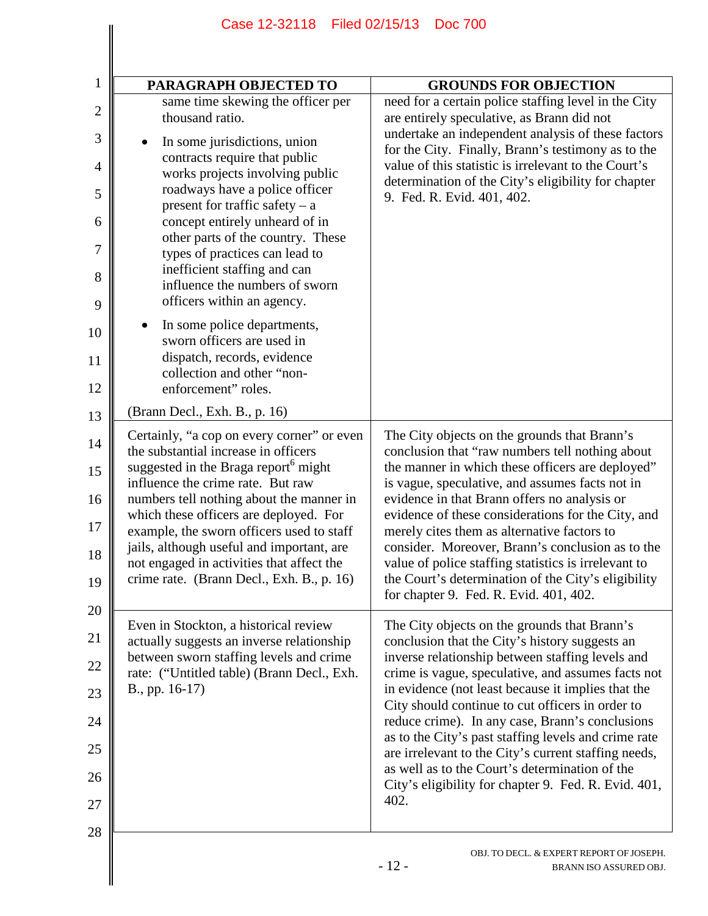| PARAGRAPH OBJECTED TO                                                                                                                  | <b>GROUNDS FOR OBJECTION</b>                                                                                                                        |
|----------------------------------------------------------------------------------------------------------------------------------------|-----------------------------------------------------------------------------------------------------------------------------------------------------|
| same time skewing the officer per<br>thousand ratio.                                                                                   | need for a certain police staffing level in the City<br>are entirely speculative, as Brann did not                                                  |
| In some jurisdictions, union<br>contracts require that public                                                                          | undertake an independent analysis of these factors<br>for the City. Finally, Brann's testimony as to the                                            |
| works projects involving public<br>roadways have a police officer                                                                      | value of this statistic is irrelevant to the Court's<br>determination of the City's eligibility for chapter                                         |
| present for traffic safety $- a$<br>concept entirely unheard of in                                                                     | 9. Fed. R. Evid. 401, 402.                                                                                                                          |
| other parts of the country. These<br>types of practices can lead to                                                                    |                                                                                                                                                     |
| inefficient staffing and can<br>influence the numbers of sworn<br>officers within an agency.                                           |                                                                                                                                                     |
| In some police departments,<br>sworn officers are used in                                                                              |                                                                                                                                                     |
| dispatch, records, evidence<br>collection and other "non-                                                                              |                                                                                                                                                     |
| enforcement" roles.                                                                                                                    |                                                                                                                                                     |
| (Brann Decl., Exh. B., p. 16)                                                                                                          |                                                                                                                                                     |
| Certainly, "a cop on every corner" or even<br>the substantial increase in officers<br>suggested in the Braga report <sup>6</sup> might | The City objects on the grounds that Brann's<br>conclusion that "raw numbers tell nothing about<br>the manner in which these officers are deployed" |
| influence the crime rate. But raw<br>numbers tell nothing about the manner in                                                          | is vague, speculative, and assumes facts not in<br>evidence in that Brann offers no analysis or                                                     |
| which these officers are deployed. For<br>example, the sworn officers used to staff                                                    | evidence of these considerations for the City, and<br>merely cites them as alternative factors to                                                   |
| jails, although useful and important, are                                                                                              | consider. Moreover, Brann's conclusion as to the                                                                                                    |
| not engaged in activities that affect the<br>crime rate. (Brann Decl., Exh. B., p. 16)                                                 | value of police staffing statistics is irrelevant to<br>the Court's determination of the City's eligibility                                         |
|                                                                                                                                        | for chapter 9. Fed. R. Evid. 401, 402.                                                                                                              |
| Even in Stockton, a historical review<br>actually suggests an inverse relationship                                                     | The City objects on the grounds that Brann's<br>conclusion that the City's history suggests an                                                      |
| between sworn staffing levels and crime<br>rate: ("Untitled table) (Brann Decl., Exh.                                                  | inverse relationship between staffing levels and<br>crime is vague, speculative, and assumes facts not                                              |
| B., pp. 16-17)                                                                                                                         | in evidence (not least because it implies that the<br>City should continue to cut officers in order to                                              |
|                                                                                                                                        | reduce crime). In any case, Brann's conclusions<br>as to the City's past staffing levels and crime rate                                             |
|                                                                                                                                        | are irrelevant to the City's current staffing needs,<br>as well as to the Court's determination of the                                              |
|                                                                                                                                        | City's eligibility for chapter 9. Fed. R. Evid. 401,<br>402.                                                                                        |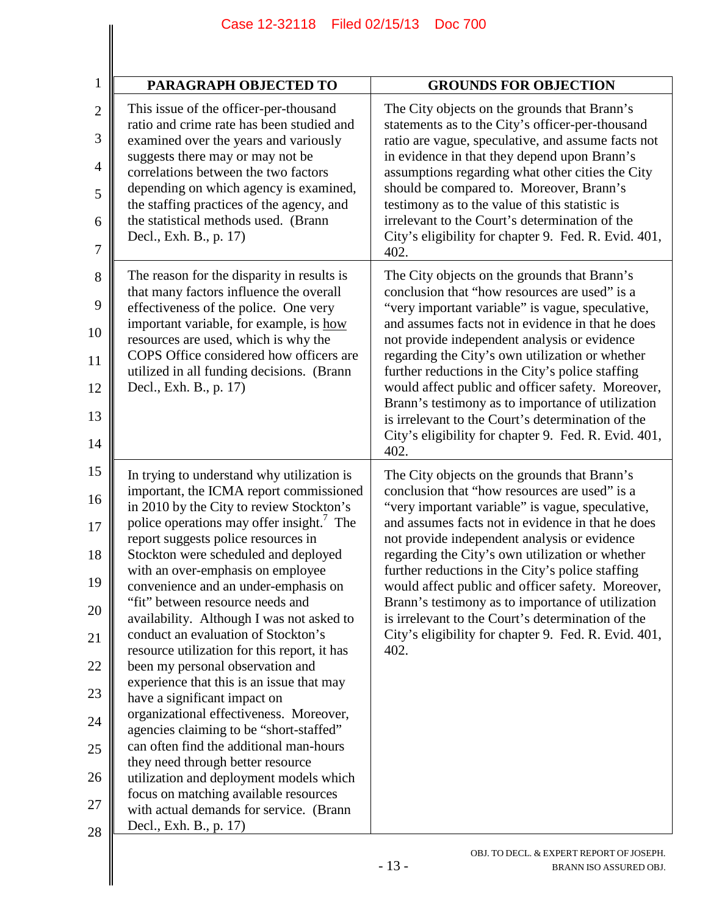| <b>PARAGRAPH OBJECTED TO</b>                                                                                                                                                                                                                                                                                                                                                                                                                                                                                                                                                                                                                                                                                                                                                                                                                                                                                                                                                   | <b>GROUNDS FOR OBJECTION</b>                                                                                                                                                                                                                                                                                                                                                                                                                                                                                                                                                                 |
|--------------------------------------------------------------------------------------------------------------------------------------------------------------------------------------------------------------------------------------------------------------------------------------------------------------------------------------------------------------------------------------------------------------------------------------------------------------------------------------------------------------------------------------------------------------------------------------------------------------------------------------------------------------------------------------------------------------------------------------------------------------------------------------------------------------------------------------------------------------------------------------------------------------------------------------------------------------------------------|----------------------------------------------------------------------------------------------------------------------------------------------------------------------------------------------------------------------------------------------------------------------------------------------------------------------------------------------------------------------------------------------------------------------------------------------------------------------------------------------------------------------------------------------------------------------------------------------|
| This issue of the officer-per-thousand<br>ratio and crime rate has been studied and<br>examined over the years and variously<br>suggests there may or may not be<br>correlations between the two factors<br>depending on which agency is examined,<br>the staffing practices of the agency, and<br>the statistical methods used. (Brann<br>Decl., Exh. B., p. 17)                                                                                                                                                                                                                                                                                                                                                                                                                                                                                                                                                                                                              | The City objects on the grounds that Brann's<br>statements as to the City's officer-per-thousand<br>ratio are vague, speculative, and assume facts not<br>in evidence in that they depend upon Brann's<br>assumptions regarding what other cities the City<br>should be compared to. Moreover, Brann's<br>testimony as to the value of this statistic is<br>irrelevant to the Court's determination of the<br>City's eligibility for chapter 9. Fed. R. Evid. 401,<br>402.                                                                                                                   |
| The reason for the disparity in results is<br>that many factors influence the overall<br>effectiveness of the police. One very<br>important variable, for example, is how<br>resources are used, which is why the<br>COPS Office considered how officers are<br>utilized in all funding decisions. (Brann<br>Decl., Exh. B., p. 17)                                                                                                                                                                                                                                                                                                                                                                                                                                                                                                                                                                                                                                            | The City objects on the grounds that Brann's<br>conclusion that "how resources are used" is a<br>"very important variable" is vague, speculative,<br>and assumes facts not in evidence in that he does<br>not provide independent analysis or evidence<br>regarding the City's own utilization or whether<br>further reductions in the City's police staffing<br>would affect public and officer safety. Moreover,<br>Brann's testimony as to importance of utilization<br>is irrelevant to the Court's determination of the<br>City's eligibility for chapter 9. Fed. R. Evid. 401,<br>402. |
| In trying to understand why utilization is<br>important, the ICMA report commissioned<br>in 2010 by the City to review Stockton's<br>police operations may offer insight. <sup>7</sup> The<br>report suggests police resources in<br>Stockton were scheduled and deployed<br>with an over-emphasis on employee<br>convenience and an under-emphasis on<br>"fit" between resource needs and<br>availability. Although I was not asked to<br>conduct an evaluation of Stockton's<br>resource utilization for this report, it has<br>been my personal observation and<br>experience that this is an issue that may<br>have a significant impact on<br>organizational effectiveness. Moreover,<br>agencies claiming to be "short-staffed"<br>can often find the additional man-hours<br>they need through better resource<br>utilization and deployment models which<br>focus on matching available resources<br>with actual demands for service. (Brann<br>Decl., Exh. B., p. 17) | The City objects on the grounds that Brann's<br>conclusion that "how resources are used" is a<br>"very important variable" is vague, speculative,<br>and assumes facts not in evidence in that he does<br>not provide independent analysis or evidence<br>regarding the City's own utilization or whether<br>further reductions in the City's police staffing<br>would affect public and officer safety. Moreover,<br>Brann's testimony as to importance of utilization<br>is irrelevant to the Court's determination of the<br>City's eligibility for chapter 9. Fed. R. Evid. 401,<br>402. |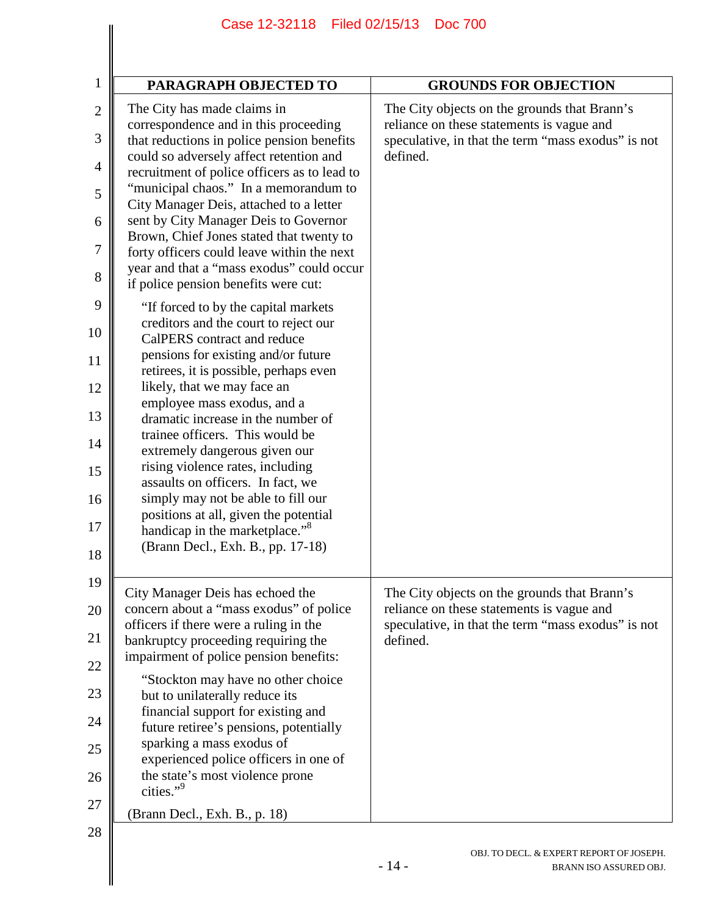| PARAGRAPH OBJECTED TO                                                                                                                                                                                                                                                                                                                                                                                                                                                                                                                                                                                             | <b>GROUNDS FOR OBJECTION</b>                                                                                                                                |
|-------------------------------------------------------------------------------------------------------------------------------------------------------------------------------------------------------------------------------------------------------------------------------------------------------------------------------------------------------------------------------------------------------------------------------------------------------------------------------------------------------------------------------------------------------------------------------------------------------------------|-------------------------------------------------------------------------------------------------------------------------------------------------------------|
| The City has made claims in<br>correspondence and in this proceeding<br>that reductions in police pension benefits<br>could so adversely affect retention and<br>recruitment of police officers as to lead to<br>"municipal chaos." In a memorandum to<br>City Manager Deis, attached to a letter<br>sent by City Manager Deis to Governor<br>Brown, Chief Jones stated that twenty to<br>forty officers could leave within the next<br>year and that a "mass exodus" could occur<br>if police pension benefits were cut:                                                                                         | The City objects on the grounds that Brann's<br>reliance on these statements is vague and<br>speculative, in that the term "mass exodus" is not<br>defined. |
| "If forced to by the capital markets"<br>creditors and the court to reject our<br>CalPERS contract and reduce<br>pensions for existing and/or future<br>retirees, it is possible, perhaps even<br>likely, that we may face an<br>employee mass exodus, and a<br>dramatic increase in the number of<br>trainee officers. This would be<br>extremely dangerous given our<br>rising violence rates, including<br>assaults on officers. In fact, we<br>simply may not be able to fill our<br>positions at all, given the potential<br>handicap in the marketplace." <sup>8</sup><br>(Brann Decl., Exh. B., pp. 17-18) |                                                                                                                                                             |
| City Manager Deis has echoed the<br>concern about a "mass exodus" of police<br>officers if there were a ruling in the<br>bankruptcy proceeding requiring the<br>impairment of police pension benefits:<br>"Stockton may have no other choice<br>but to unilaterally reduce its<br>financial support for existing and<br>future retiree's pensions, potentially<br>sparking a mass exodus of<br>experienced police officers in one of<br>the state's most violence prone<br>cities."9<br>(Brann Decl., Exh. B., p. 18)                                                                                             | The City objects on the grounds that Brann's<br>reliance on these statements is vague and<br>speculative, in that the term "mass exodus" is not<br>defined. |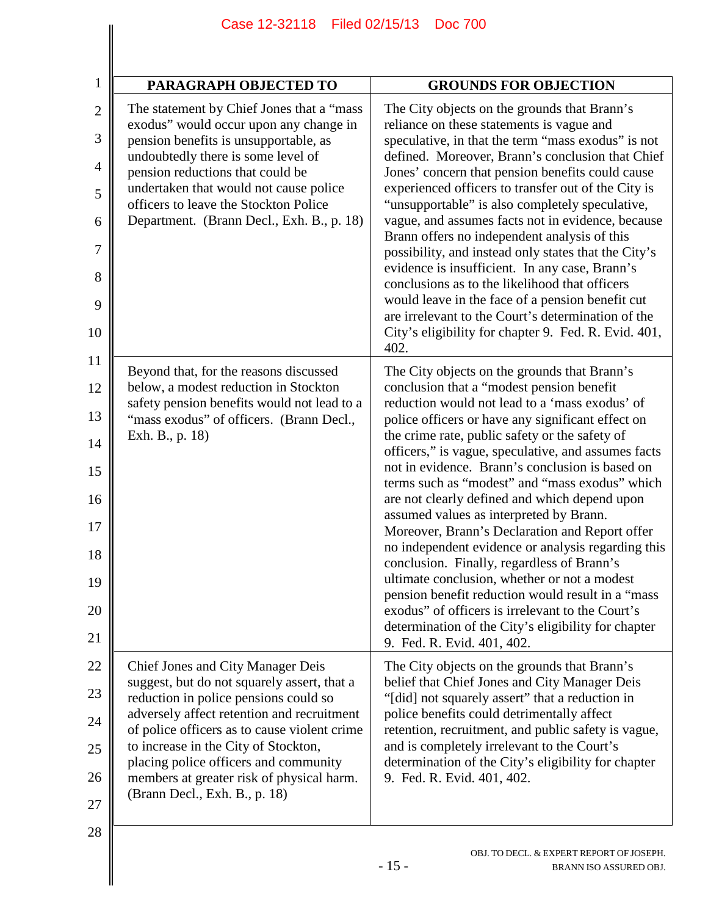| PARAGRAPH OBJECTED TO                                                                                                                                                                                                                                                                                                                                                                  | <b>GROUNDS FOR OBJECTION</b>                                                                                                                                                                                                                                                                                                                                                                                                                                                                                                                                                                                                                                                                                                                                                                                                                                                                                   |
|----------------------------------------------------------------------------------------------------------------------------------------------------------------------------------------------------------------------------------------------------------------------------------------------------------------------------------------------------------------------------------------|----------------------------------------------------------------------------------------------------------------------------------------------------------------------------------------------------------------------------------------------------------------------------------------------------------------------------------------------------------------------------------------------------------------------------------------------------------------------------------------------------------------------------------------------------------------------------------------------------------------------------------------------------------------------------------------------------------------------------------------------------------------------------------------------------------------------------------------------------------------------------------------------------------------|
| The statement by Chief Jones that a "mass"<br>exodus" would occur upon any change in<br>pension benefits is unsupportable, as<br>undoubtedly there is some level of<br>pension reductions that could be<br>undertaken that would not cause police<br>officers to leave the Stockton Police<br>Department. (Brann Decl., Exh. B., p. 18)                                                | The City objects on the grounds that Brann's<br>reliance on these statements is vague and<br>speculative, in that the term "mass exodus" is not<br>defined. Moreover, Brann's conclusion that Chief<br>Jones' concern that pension benefits could cause<br>experienced officers to transfer out of the City is<br>"unsupportable" is also completely speculative,<br>vague, and assumes facts not in evidence, because<br>Brann offers no independent analysis of this<br>possibility, and instead only states that the City's<br>evidence is insufficient. In any case, Brann's<br>conclusions as to the likelihood that officers<br>would leave in the face of a pension benefit cut<br>are irrelevant to the Court's determination of the<br>City's eligibility for chapter 9. Fed. R. Evid. 401,<br>402.                                                                                                   |
| Beyond that, for the reasons discussed<br>below, a modest reduction in Stockton<br>safety pension benefits would not lead to a<br>"mass exodus" of officers. (Brann Decl.,<br>Exh. B., p. 18)                                                                                                                                                                                          | The City objects on the grounds that Brann's<br>conclusion that a "modest pension benefit<br>reduction would not lead to a 'mass exodus' of<br>police officers or have any significant effect on<br>the crime rate, public safety or the safety of<br>officers," is vague, speculative, and assumes facts<br>not in evidence. Brann's conclusion is based on<br>terms such as "modest" and "mass exodus" which<br>are not clearly defined and which depend upon<br>assumed values as interpreted by Brann.<br>Moreover, Brann's Declaration and Report offer<br>no independent evidence or analysis regarding this<br>conclusion. Finally, regardless of Brann's<br>ultimate conclusion, whether or not a modest<br>pension benefit reduction would result in a "mass<br>exodus" of officers is irrelevant to the Court's<br>determination of the City's eligibility for chapter<br>9. Fed. R. Evid. 401, 402. |
| Chief Jones and City Manager Deis<br>suggest, but do not squarely assert, that a<br>reduction in police pensions could so<br>adversely affect retention and recruitment<br>of police officers as to cause violent crime<br>to increase in the City of Stockton,<br>placing police officers and community<br>members at greater risk of physical harm.<br>(Brann Decl., Exh. B., p. 18) | The City objects on the grounds that Brann's<br>belief that Chief Jones and City Manager Deis<br>"[did] not squarely assert" that a reduction in<br>police benefits could detrimentally affect<br>retention, recruitment, and public safety is vague,<br>and is completely irrelevant to the Court's<br>determination of the City's eligibility for chapter<br>9. Fed. R. Evid. 401, 402.                                                                                                                                                                                                                                                                                                                                                                                                                                                                                                                      |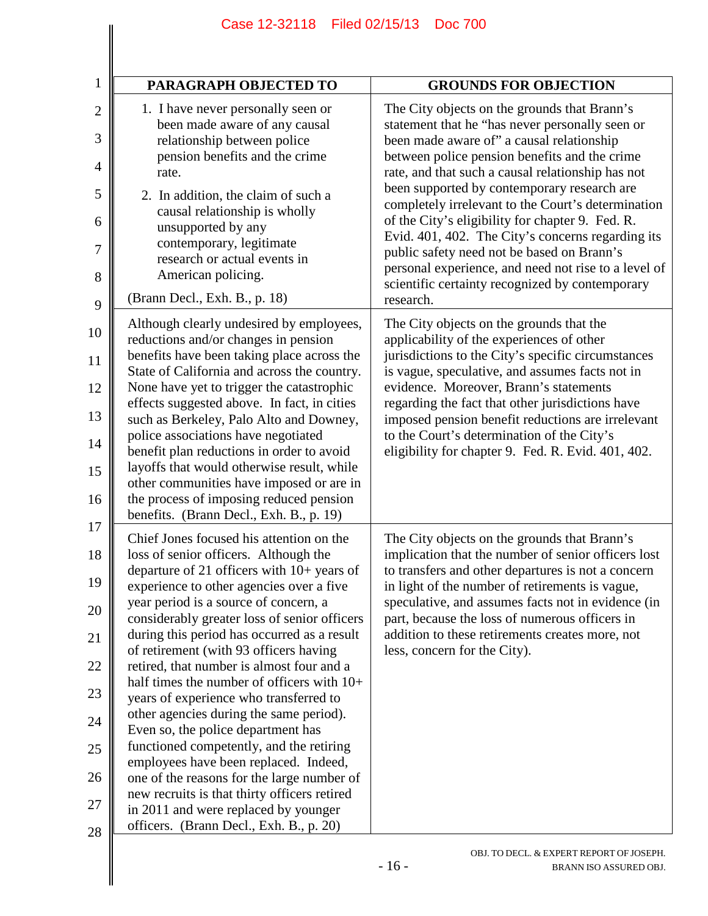| PARAGRAPH OBJECTED TO                                                                                                                                                                                                                                                                                                                                                                                                                                                                                                                                                                                                                                                                                                                                                                                                                                       | <b>GROUNDS FOR OBJECTION</b>                                                                                                                                                                                                                                                                                                                                                                                                                                                                                                                                                                                              |
|-------------------------------------------------------------------------------------------------------------------------------------------------------------------------------------------------------------------------------------------------------------------------------------------------------------------------------------------------------------------------------------------------------------------------------------------------------------------------------------------------------------------------------------------------------------------------------------------------------------------------------------------------------------------------------------------------------------------------------------------------------------------------------------------------------------------------------------------------------------|---------------------------------------------------------------------------------------------------------------------------------------------------------------------------------------------------------------------------------------------------------------------------------------------------------------------------------------------------------------------------------------------------------------------------------------------------------------------------------------------------------------------------------------------------------------------------------------------------------------------------|
| 1. I have never personally seen or<br>been made aware of any causal<br>relationship between police<br>pension benefits and the crime<br>rate.<br>2. In addition, the claim of such a<br>causal relationship is wholly<br>unsupported by any<br>contemporary, legitimate<br>research or actual events in<br>American policing.                                                                                                                                                                                                                                                                                                                                                                                                                                                                                                                               | The City objects on the grounds that Brann's<br>statement that he "has never personally seen or<br>been made aware of" a causal relationship<br>between police pension benefits and the crime<br>rate, and that such a causal relationship has not<br>been supported by contemporary research are<br>completely irrelevant to the Court's determination<br>of the City's eligibility for chapter 9. Fed. R.<br>Evid. 401, 402. The City's concerns regarding its<br>public safety need not be based on Brann's<br>personal experience, and need not rise to a level of<br>scientific certainty recognized by contemporary |
| (Brann Decl., Exh. B., p. 18)                                                                                                                                                                                                                                                                                                                                                                                                                                                                                                                                                                                                                                                                                                                                                                                                                               | research.                                                                                                                                                                                                                                                                                                                                                                                                                                                                                                                                                                                                                 |
| Although clearly undesired by employees,<br>reductions and/or changes in pension<br>benefits have been taking place across the<br>State of California and across the country.<br>None have yet to trigger the catastrophic<br>effects suggested above. In fact, in cities<br>such as Berkeley, Palo Alto and Downey,<br>police associations have negotiated<br>benefit plan reductions in order to avoid<br>layoffs that would otherwise result, while<br>other communities have imposed or are in<br>the process of imposing reduced pension<br>benefits. (Brann Decl., Exh. B., p. 19)                                                                                                                                                                                                                                                                    | The City objects on the grounds that the<br>applicability of the experiences of other<br>jurisdictions to the City's specific circumstances<br>is vague, speculative, and assumes facts not in<br>evidence. Moreover, Brann's statements<br>regarding the fact that other jurisdictions have<br>imposed pension benefit reductions are irrelevant<br>to the Court's determination of the City's<br>eligibility for chapter 9. Fed. R. Evid. 401, 402.                                                                                                                                                                     |
| Chief Jones focused his attention on the<br>loss of senior officers. Although the<br>departure of 21 officers with 10+ years of<br>experience to other agencies over a five<br>year period is a source of concern, a<br>considerably greater loss of senior officers<br>during this period has occurred as a result<br>of retirement (with 93 officers having<br>retired, that number is almost four and a<br>half times the number of officers with $10+$<br>years of experience who transferred to<br>other agencies during the same period).<br>Even so, the police department has<br>functioned competently, and the retiring<br>employees have been replaced. Indeed,<br>one of the reasons for the large number of<br>new recruits is that thirty officers retired<br>in 2011 and were replaced by younger<br>officers. (Brann Decl., Exh. B., p. 20) | The City objects on the grounds that Brann's<br>implication that the number of senior officers lost<br>to transfers and other departures is not a concern<br>in light of the number of retirements is vague,<br>speculative, and assumes facts not in evidence (in<br>part, because the loss of numerous officers in<br>addition to these retirements creates more, not<br>less, concern for the City).                                                                                                                                                                                                                   |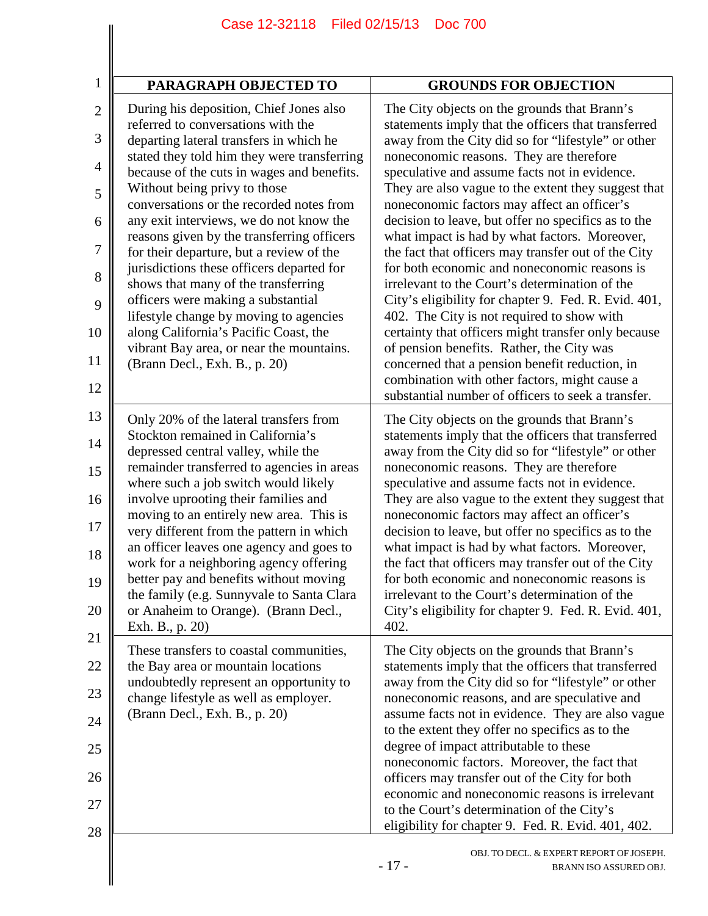| PARAGRAPH OBJECTED TO                                                                                                                                                                                                                                                                                                                                                                                                                                                                                                                                                                                                                                                                                                            | <b>GROUNDS FOR OBJECTION</b>                                                                                                                                                                                                                                                                                                                                                                                                                                                                                                                                                                                                                                                                                                                                                                                                                                                                                                                                                                    |
|----------------------------------------------------------------------------------------------------------------------------------------------------------------------------------------------------------------------------------------------------------------------------------------------------------------------------------------------------------------------------------------------------------------------------------------------------------------------------------------------------------------------------------------------------------------------------------------------------------------------------------------------------------------------------------------------------------------------------------|-------------------------------------------------------------------------------------------------------------------------------------------------------------------------------------------------------------------------------------------------------------------------------------------------------------------------------------------------------------------------------------------------------------------------------------------------------------------------------------------------------------------------------------------------------------------------------------------------------------------------------------------------------------------------------------------------------------------------------------------------------------------------------------------------------------------------------------------------------------------------------------------------------------------------------------------------------------------------------------------------|
| During his deposition, Chief Jones also<br>referred to conversations with the<br>departing lateral transfers in which he<br>stated they told him they were transferring<br>because of the cuts in wages and benefits.<br>Without being privy to those<br>conversations or the recorded notes from<br>any exit interviews, we do not know the<br>reasons given by the transferring officers<br>for their departure, but a review of the<br>jurisdictions these officers departed for<br>shows that many of the transferring<br>officers were making a substantial<br>lifestyle change by moving to agencies<br>along California's Pacific Coast, the<br>vibrant Bay area, or near the mountains.<br>(Brann Decl., Exh. B., p. 20) | The City objects on the grounds that Brann's<br>statements imply that the officers that transferred<br>away from the City did so for "lifestyle" or other<br>noneconomic reasons. They are therefore<br>speculative and assume facts not in evidence.<br>They are also vague to the extent they suggest that<br>noneconomic factors may affect an officer's<br>decision to leave, but offer no specifics as to the<br>what impact is had by what factors. Moreover,<br>the fact that officers may transfer out of the City<br>for both economic and noneconomic reasons is<br>irrelevant to the Court's determination of the<br>City's eligibility for chapter 9. Fed. R. Evid. 401,<br>402. The City is not required to show with<br>certainty that officers might transfer only because<br>of pension benefits. Rather, the City was<br>concerned that a pension benefit reduction, in<br>combination with other factors, might cause a<br>substantial number of officers to seek a transfer. |
| Only 20% of the lateral transfers from<br>Stockton remained in California's<br>depressed central valley, while the<br>remainder transferred to agencies in areas<br>where such a job switch would likely<br>involve uprooting their families and<br>moving to an entirely new area. This is<br>very different from the pattern in which<br>an officer leaves one agency and goes to<br>work for a neighboring agency offering<br>better pay and benefits without moving<br>the family (e.g. Sunnyvale to Santa Clara<br>or Anaheim to Orange). (Brann Decl.,<br>Exh. B., p. 20)                                                                                                                                                  | The City objects on the grounds that Brann's<br>statements imply that the officers that transferred<br>away from the City did so for "lifestyle" or other<br>noneconomic reasons. They are therefore<br>speculative and assume facts not in evidence.<br>They are also vague to the extent they suggest that<br>noneconomic factors may affect an officer's<br>decision to leave, but offer no specifics as to the<br>what impact is had by what factors. Moreover,<br>the fact that officers may transfer out of the City<br>for both economic and noneconomic reasons is<br>irrelevant to the Court's determination of the<br>City's eligibility for chapter 9. Fed. R. Evid. 401,<br>402.                                                                                                                                                                                                                                                                                                    |
| These transfers to coastal communities,<br>the Bay area or mountain locations<br>undoubtedly represent an opportunity to<br>change lifestyle as well as employer.<br>(Brann Decl., Exh. B., p. 20)                                                                                                                                                                                                                                                                                                                                                                                                                                                                                                                               | The City objects on the grounds that Brann's<br>statements imply that the officers that transferred<br>away from the City did so for "lifestyle" or other<br>noneconomic reasons, and are speculative and<br>assume facts not in evidence. They are also vague<br>to the extent they offer no specifics as to the<br>degree of impact attributable to these<br>noneconomic factors. Moreover, the fact that<br>officers may transfer out of the City for both<br>economic and noneconomic reasons is irrelevant<br>to the Court's determination of the City's<br>eligibility for chapter 9. Fed. R. Evid. 401, 402.                                                                                                                                                                                                                                                                                                                                                                             |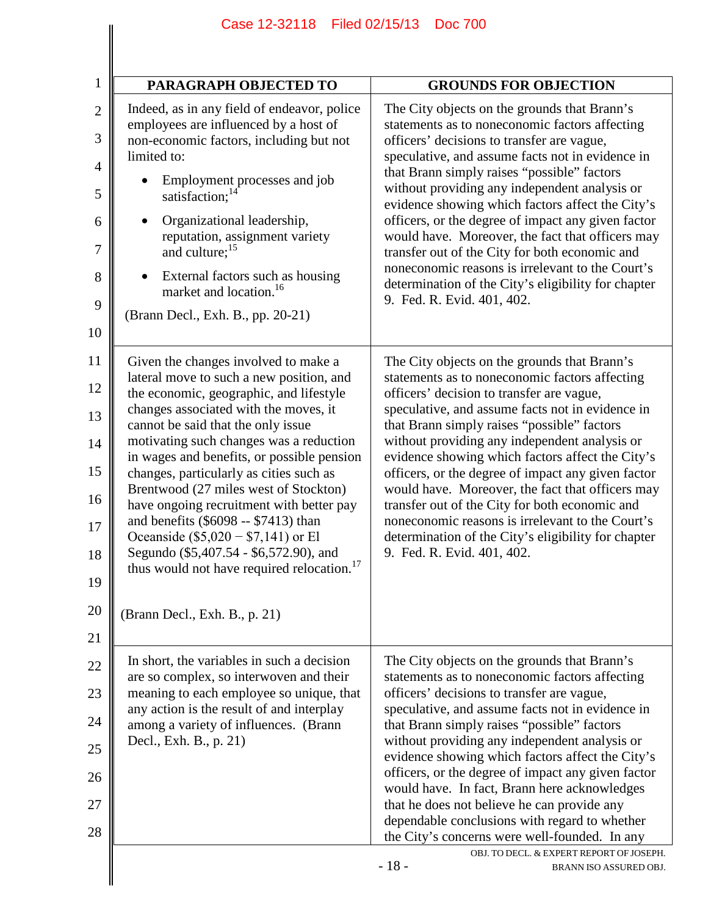| $\mathbf{1}$                                                                        | PARAGRAPH OBJECTED TO                                                                                                                                                                                                                                                                                                                                                                                                                                                                                                                                                                                                                                     | <b>GROUNDS FOR OBJECTION</b>                                                                                                                                                                                                                                                                                                                                                                                                                                                                                                                                                                                                                              |
|-------------------------------------------------------------------------------------|-----------------------------------------------------------------------------------------------------------------------------------------------------------------------------------------------------------------------------------------------------------------------------------------------------------------------------------------------------------------------------------------------------------------------------------------------------------------------------------------------------------------------------------------------------------------------------------------------------------------------------------------------------------|-----------------------------------------------------------------------------------------------------------------------------------------------------------------------------------------------------------------------------------------------------------------------------------------------------------------------------------------------------------------------------------------------------------------------------------------------------------------------------------------------------------------------------------------------------------------------------------------------------------------------------------------------------------|
| $\overline{2}$<br>3<br>limited to:<br>$\overline{4}$<br>5<br>6<br>7<br>8<br>9<br>10 | Indeed, as in any field of endeavor, police<br>employees are influenced by a host of<br>non-economic factors, including but not<br>Employment processes and job<br>satisfaction; <sup>14</sup><br>Organizational leadership,<br>reputation, assignment variety<br>and culture; <sup>15</sup><br>External factors such as housing<br>market and location. <sup>16</sup><br>(Brann Decl., Exh. B., pp. 20-21)                                                                                                                                                                                                                                               | The City objects on the grounds that Brann's<br>statements as to noneconomic factors affecting<br>officers' decisions to transfer are vague,<br>speculative, and assume facts not in evidence in<br>that Brann simply raises "possible" factors<br>without providing any independent analysis or<br>evidence showing which factors affect the City's<br>officers, or the degree of impact any given factor<br>would have. Moreover, the fact that officers may<br>transfer out of the City for both economic and<br>noneconomic reasons is irrelevant to the Court's<br>determination of the City's eligibility for chapter<br>9. Fed. R. Evid. 401, 402. |
| 11<br>12<br>13<br>14<br>15<br>16<br>17<br>18<br>19<br>20<br>21                      | Given the changes involved to make a<br>lateral move to such a new position, and<br>the economic, geographic, and lifestyle<br>changes associated with the moves, it<br>cannot be said that the only issue<br>motivating such changes was a reduction<br>in wages and benefits, or possible pension<br>changes, particularly as cities such as<br>Brentwood (27 miles west of Stockton)<br>have ongoing recruitment with better pay<br>and benefits (\$6098 -- \$7413) than<br>Oceanside $(\$5,020 - \$7,141)$ or El<br>Segundo (\$5,407.54 - \$6,572.90), and<br>thus would not have required relocation. <sup>17</sup><br>(Brann Decl., Exh. B., p. 21) | The City objects on the grounds that Brann's<br>statements as to noneconomic factors affecting<br>officers' decision to transfer are vague,<br>speculative, and assume facts not in evidence in<br>that Brann simply raises "possible" factors<br>without providing any independent analysis or<br>evidence showing which factors affect the City's<br>officers, or the degree of impact any given factor<br>would have. Moreover, the fact that officers may<br>transfer out of the City for both economic and<br>noneconomic reasons is irrelevant to the Court's<br>determination of the City's eligibility for chapter<br>9. Fed. R. Evid. 401, 402.  |
| 22<br>23<br>24<br>Decl., Exh. B., p. 21)<br>25<br>26<br>27<br>28                    | In short, the variables in such a decision<br>are so complex, so interwoven and their<br>meaning to each employee so unique, that<br>any action is the result of and interplay<br>among a variety of influences. (Brann                                                                                                                                                                                                                                                                                                                                                                                                                                   | The City objects on the grounds that Brann's<br>statements as to noneconomic factors affecting<br>officers' decisions to transfer are vague,<br>speculative, and assume facts not in evidence in<br>that Brann simply raises "possible" factors<br>without providing any independent analysis or<br>evidence showing which factors affect the City's<br>officers, or the degree of impact any given factor<br>would have. In fact, Brann here acknowledges<br>that he does not believe he can provide any<br>dependable conclusions with regard to whether<br>the City's concerns were well-founded. In any                                               |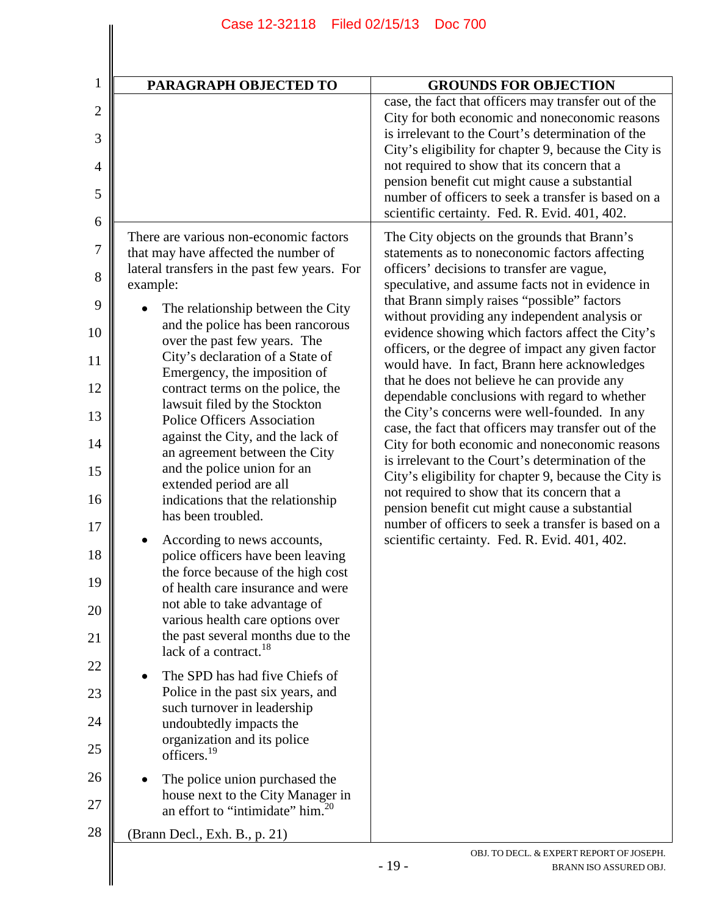| PARAGRAPH OBJECTED TO                                                                                                                                                                                                                                                                                                                                                                                                                                                                                                                                                                                                                                                                                                                                                                                                                                                                                                                                                                                                                                                                                                                                                                                                                                                             | <b>GROUNDS FOR OBJECTION</b>                                                                                                                                                                                                                                                                                                                                                                                                                                                                                                                                                                                                                                                                                                                                                                                                                                                                                                                                                                                                                 |
|-----------------------------------------------------------------------------------------------------------------------------------------------------------------------------------------------------------------------------------------------------------------------------------------------------------------------------------------------------------------------------------------------------------------------------------------------------------------------------------------------------------------------------------------------------------------------------------------------------------------------------------------------------------------------------------------------------------------------------------------------------------------------------------------------------------------------------------------------------------------------------------------------------------------------------------------------------------------------------------------------------------------------------------------------------------------------------------------------------------------------------------------------------------------------------------------------------------------------------------------------------------------------------------|----------------------------------------------------------------------------------------------------------------------------------------------------------------------------------------------------------------------------------------------------------------------------------------------------------------------------------------------------------------------------------------------------------------------------------------------------------------------------------------------------------------------------------------------------------------------------------------------------------------------------------------------------------------------------------------------------------------------------------------------------------------------------------------------------------------------------------------------------------------------------------------------------------------------------------------------------------------------------------------------------------------------------------------------|
|                                                                                                                                                                                                                                                                                                                                                                                                                                                                                                                                                                                                                                                                                                                                                                                                                                                                                                                                                                                                                                                                                                                                                                                                                                                                                   | case, the fact that officers may transfer out of the<br>City for both economic and noneconomic reasons<br>is irrelevant to the Court's determination of the<br>City's eligibility for chapter 9, because the City is<br>not required to show that its concern that a<br>pension benefit cut might cause a substantial<br>number of officers to seek a transfer is based on a<br>scientific certainty. Fed. R. Evid. 401, 402.                                                                                                                                                                                                                                                                                                                                                                                                                                                                                                                                                                                                                |
| There are various non-economic factors<br>that may have affected the number of<br>lateral transfers in the past few years. For<br>example:<br>The relationship between the City<br>and the police has been rancorous<br>over the past few years. The<br>City's declaration of a State of<br>Emergency, the imposition of<br>contract terms on the police, the<br>lawsuit filed by the Stockton<br><b>Police Officers Association</b><br>against the City, and the lack of<br>an agreement between the City<br>and the police union for an<br>extended period are all<br>indications that the relationship<br>has been troubled.<br>According to news accounts,<br>police officers have been leaving<br>the force because of the high cost<br>of health care insurance and were<br>not able to take advantage of<br>various health care options over<br>the past several months due to the<br>lack of a contract. <sup>18</sup><br>The SPD has had five Chiefs of<br>Police in the past six years, and<br>such turnover in leadership<br>undoubtedly impacts the<br>organization and its police<br>officers. <sup>19</sup><br>The police union purchased the<br>house next to the City Manager in<br>an effort to "intimidate" him. <sup>20</sup><br>(Brann Decl., Exh. B., p. 21) | The City objects on the grounds that Brann's<br>statements as to noneconomic factors affecting<br>officers' decisions to transfer are vague,<br>speculative, and assume facts not in evidence in<br>that Brann simply raises "possible" factors<br>without providing any independent analysis or<br>evidence showing which factors affect the City's<br>officers, or the degree of impact any given factor<br>would have. In fact, Brann here acknowledges<br>that he does not believe he can provide any<br>dependable conclusions with regard to whether<br>the City's concerns were well-founded. In any<br>case, the fact that officers may transfer out of the<br>City for both economic and noneconomic reasons<br>is irrelevant to the Court's determination of the<br>City's eligibility for chapter 9, because the City is<br>not required to show that its concern that a<br>pension benefit cut might cause a substantial<br>number of officers to seek a transfer is based on a<br>scientific certainty. Fed. R. Evid. 401, 402. |
|                                                                                                                                                                                                                                                                                                                                                                                                                                                                                                                                                                                                                                                                                                                                                                                                                                                                                                                                                                                                                                                                                                                                                                                                                                                                                   | OBJ. TO DECL. & EXPERT REPORT OF JOSEPH.<br>$-19-$                                                                                                                                                                                                                                                                                                                                                                                                                                                                                                                                                                                                                                                                                                                                                                                                                                                                                                                                                                                           |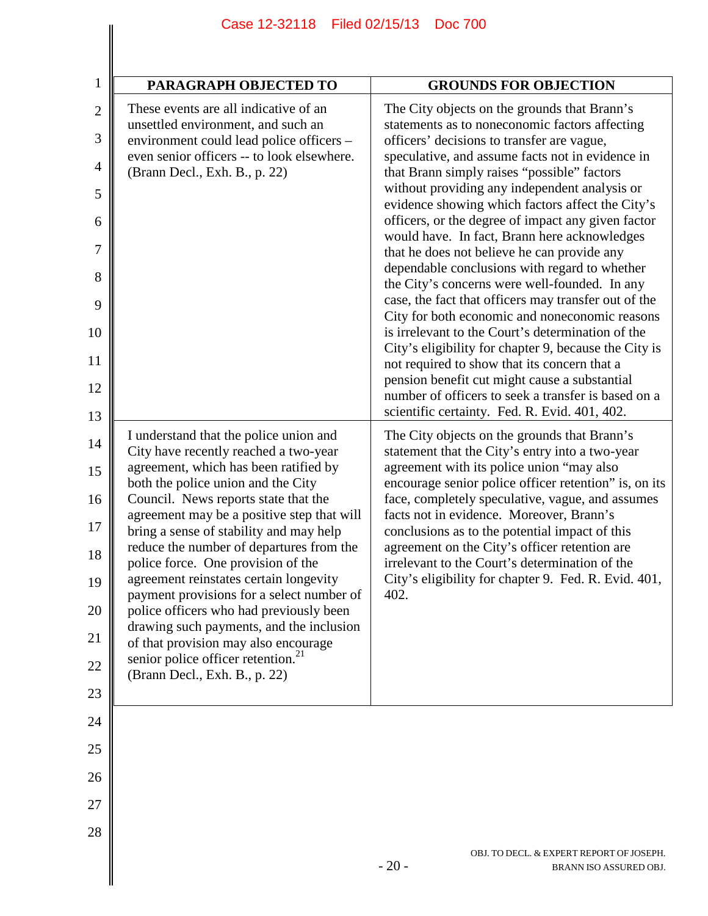| PARAGRAPH OBJECTED TO                                                                                                                                                                                                                                                                                                                                                                                                                                                                                                                                                                                                                                                                      | <b>GROUNDS FOR OBJECTION</b>                                                                                                                                                                                                                                                                                                                                                                                                                                                                                                                                                                                                                                                                                                                                                                                                                                                                                                                                                                                                                 |
|--------------------------------------------------------------------------------------------------------------------------------------------------------------------------------------------------------------------------------------------------------------------------------------------------------------------------------------------------------------------------------------------------------------------------------------------------------------------------------------------------------------------------------------------------------------------------------------------------------------------------------------------------------------------------------------------|----------------------------------------------------------------------------------------------------------------------------------------------------------------------------------------------------------------------------------------------------------------------------------------------------------------------------------------------------------------------------------------------------------------------------------------------------------------------------------------------------------------------------------------------------------------------------------------------------------------------------------------------------------------------------------------------------------------------------------------------------------------------------------------------------------------------------------------------------------------------------------------------------------------------------------------------------------------------------------------------------------------------------------------------|
| These events are all indicative of an<br>unsettled environment, and such an<br>environment could lead police officers -<br>even senior officers -- to look elsewhere.<br>(Brann Decl., Exh. B., p. 22)                                                                                                                                                                                                                                                                                                                                                                                                                                                                                     | The City objects on the grounds that Brann's<br>statements as to noneconomic factors affecting<br>officers' decisions to transfer are vague,<br>speculative, and assume facts not in evidence in<br>that Brann simply raises "possible" factors<br>without providing any independent analysis or<br>evidence showing which factors affect the City's<br>officers, or the degree of impact any given factor<br>would have. In fact, Brann here acknowledges<br>that he does not believe he can provide any<br>dependable conclusions with regard to whether<br>the City's concerns were well-founded. In any<br>case, the fact that officers may transfer out of the<br>City for both economic and noneconomic reasons<br>is irrelevant to the Court's determination of the<br>City's eligibility for chapter 9, because the City is<br>not required to show that its concern that a<br>pension benefit cut might cause a substantial<br>number of officers to seek a transfer is based on a<br>scientific certainty. Fed. R. Evid. 401, 402. |
| I understand that the police union and<br>City have recently reached a two-year<br>agreement, which has been ratified by<br>both the police union and the City<br>Council. News reports state that the<br>agreement may be a positive step that will<br>bring a sense of stability and may help<br>reduce the number of departures from the<br>police force. One provision of the<br>agreement reinstates certain longevity<br>payment provisions for a select number of<br>police officers who had previously been<br>drawing such payments, and the inclusion<br>of that provision may also encourage<br>senior police officer retention. <sup>21</sup><br>(Brann Decl., Exh. B., p. 22) | The City objects on the grounds that Brann's<br>statement that the City's entry into a two-year<br>agreement with its police union "may also<br>encourage senior police officer retention" is, on its<br>face, completely speculative, vague, and assumes<br>facts not in evidence. Moreover, Brann's<br>conclusions as to the potential impact of this<br>agreement on the City's officer retention are<br>irrelevant to the Court's determination of the<br>City's eligibility for chapter 9. Fed. R. Evid. 401,<br>402.                                                                                                                                                                                                                                                                                                                                                                                                                                                                                                                   |
|                                                                                                                                                                                                                                                                                                                                                                                                                                                                                                                                                                                                                                                                                            |                                                                                                                                                                                                                                                                                                                                                                                                                                                                                                                                                                                                                                                                                                                                                                                                                                                                                                                                                                                                                                              |
|                                                                                                                                                                                                                                                                                                                                                                                                                                                                                                                                                                                                                                                                                            |                                                                                                                                                                                                                                                                                                                                                                                                                                                                                                                                                                                                                                                                                                                                                                                                                                                                                                                                                                                                                                              |
|                                                                                                                                                                                                                                                                                                                                                                                                                                                                                                                                                                                                                                                                                            |                                                                                                                                                                                                                                                                                                                                                                                                                                                                                                                                                                                                                                                                                                                                                                                                                                                                                                                                                                                                                                              |
|                                                                                                                                                                                                                                                                                                                                                                                                                                                                                                                                                                                                                                                                                            |                                                                                                                                                                                                                                                                                                                                                                                                                                                                                                                                                                                                                                                                                                                                                                                                                                                                                                                                                                                                                                              |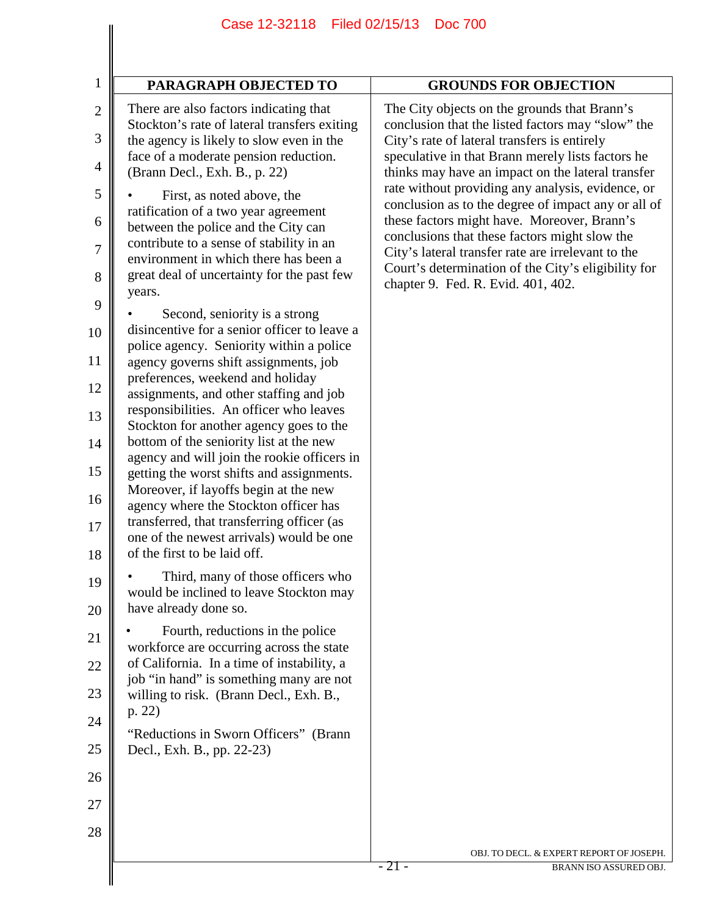| There are also factors indicating that                                                                                                                                                                                                                                                                                                                                                                                                                                                                                                                                                                                                                                                                                                                                                                                                                                                                                                                                                                                                                                                                                                                                                                                                                                                                                                                                                                                                                                                                                                   | <b>GROUNDS FOR OBJECTION</b>                                                                                                                                                                                                                                                                                                                                                                                                                                                                                                                                                                                               |
|------------------------------------------------------------------------------------------------------------------------------------------------------------------------------------------------------------------------------------------------------------------------------------------------------------------------------------------------------------------------------------------------------------------------------------------------------------------------------------------------------------------------------------------------------------------------------------------------------------------------------------------------------------------------------------------------------------------------------------------------------------------------------------------------------------------------------------------------------------------------------------------------------------------------------------------------------------------------------------------------------------------------------------------------------------------------------------------------------------------------------------------------------------------------------------------------------------------------------------------------------------------------------------------------------------------------------------------------------------------------------------------------------------------------------------------------------------------------------------------------------------------------------------------|----------------------------------------------------------------------------------------------------------------------------------------------------------------------------------------------------------------------------------------------------------------------------------------------------------------------------------------------------------------------------------------------------------------------------------------------------------------------------------------------------------------------------------------------------------------------------------------------------------------------------|
| Stockton's rate of lateral transfers exiting<br>the agency is likely to slow even in the<br>face of a moderate pension reduction.<br>(Brann Decl., Exh. B., p. 22)<br>First, as noted above, the<br>ratification of a two year agreement<br>between the police and the City can<br>contribute to a sense of stability in an<br>environment in which there has been a<br>great deal of uncertainty for the past few<br>years.<br>Second, seniority is a strong<br>disincentive for a senior officer to leave a<br>police agency. Seniority within a police<br>agency governs shift assignments, job<br>preferences, weekend and holiday<br>assignments, and other staffing and job<br>responsibilities. An officer who leaves<br>Stockton for another agency goes to the<br>bottom of the seniority list at the new<br>agency and will join the rookie officers in<br>getting the worst shifts and assignments.<br>Moreover, if layoffs begin at the new<br>agency where the Stockton officer has<br>transferred, that transferring officer (as<br>one of the newest arrivals) would be one<br>of the first to be laid off.<br>Third, many of those officers who<br>would be inclined to leave Stockton may<br>have already done so.<br>Fourth, reductions in the police<br>workforce are occurring across the state<br>of California. In a time of instability, a<br>job "in hand" is something many are not<br>willing to risk. (Brann Decl., Exh. B.,<br>p. 22)<br>"Reductions in Sworn Officers" (Brann<br>Decl., Exh. B., pp. 22-23) | The City objects on the grounds that Brann's<br>conclusion that the listed factors may "slow" the<br>City's rate of lateral transfers is entirely<br>speculative in that Brann merely lists factors he<br>thinks may have an impact on the lateral transfer<br>rate without providing any analysis, evidence, or<br>conclusion as to the degree of impact any or all of<br>these factors might have. Moreover, Brann's<br>conclusions that these factors might slow the<br>City's lateral transfer rate are irrelevant to the<br>Court's determination of the City's eligibility for<br>chapter 9. Fed. R. Evid. 401, 402. |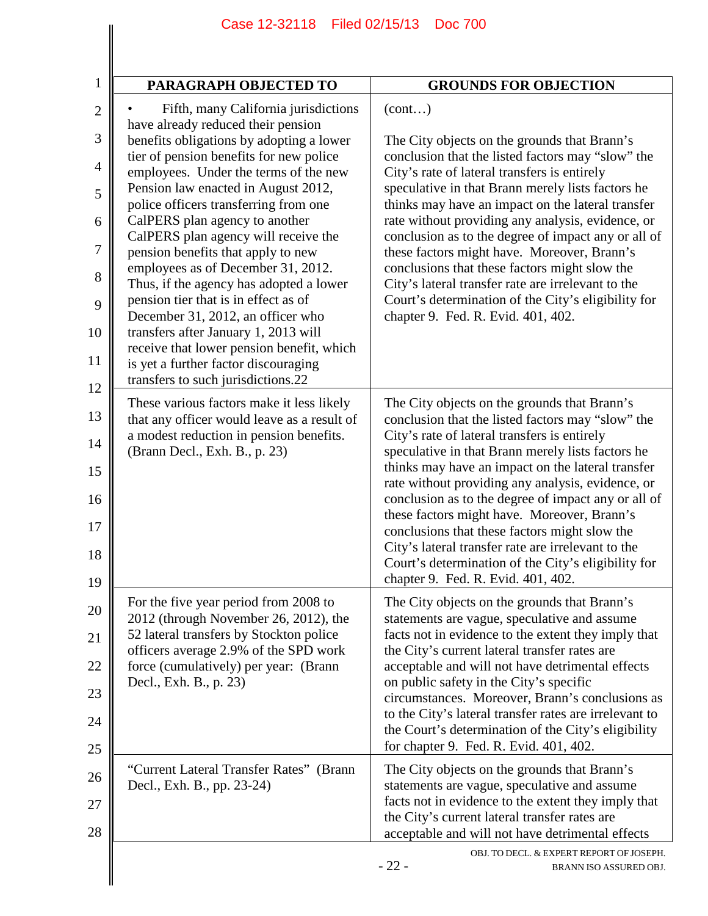| PARAGRAPH OBJECTED TO                                                                                                     | <b>GROUNDS FOR OBJECTION</b>                                                                                                                           |
|---------------------------------------------------------------------------------------------------------------------------|--------------------------------------------------------------------------------------------------------------------------------------------------------|
| Fifth, many California jurisdictions                                                                                      | (cont)                                                                                                                                                 |
| have already reduced their pension<br>benefits obligations by adopting a lower                                            | The City objects on the grounds that Brann's                                                                                                           |
| tier of pension benefits for new police<br>employees. Under the terms of the new<br>Pension law enacted in August 2012,   | conclusion that the listed factors may "slow" the<br>City's rate of lateral transfers is entirely<br>speculative in that Brann merely lists factors he |
| police officers transferring from one<br>CalPERS plan agency to another                                                   | thinks may have an impact on the lateral transfer<br>rate without providing any analysis, evidence, or                                                 |
| CalPERS plan agency will receive the                                                                                      | conclusion as to the degree of impact any or all of                                                                                                    |
| pension benefits that apply to new<br>employees as of December 31, 2012.                                                  | these factors might have. Moreover, Brann's<br>conclusions that these factors might slow the                                                           |
| Thus, if the agency has adopted a lower<br>pension tier that is in effect as of<br>December 31, 2012, an officer who      | City's lateral transfer rate are irrelevant to the<br>Court's determination of the City's eligibility for<br>chapter 9. Fed. R. Evid. 401, 402.        |
| transfers after January 1, 2013 will                                                                                      |                                                                                                                                                        |
| receive that lower pension benefit, which<br>is yet a further factor discouraging                                         |                                                                                                                                                        |
| transfers to such jurisdictions.22                                                                                        |                                                                                                                                                        |
| These various factors make it less likely<br>that any officer would leave as a result of                                  | The City objects on the grounds that Brann's<br>conclusion that the listed factors may "slow" the                                                      |
| a modest reduction in pension benefits.<br>(Brann Decl., Exh. B., p. 23)                                                  | City's rate of lateral transfers is entirely<br>speculative in that Brann merely lists factors he                                                      |
|                                                                                                                           | thinks may have an impact on the lateral transfer<br>rate without providing any analysis, evidence, or                                                 |
|                                                                                                                           | conclusion as to the degree of impact any or all of<br>these factors might have. Moreover, Brann's                                                     |
|                                                                                                                           | conclusions that these factors might slow the<br>City's lateral transfer rate are irrelevant to the                                                    |
|                                                                                                                           | Court's determination of the City's eligibility for<br>chapter 9. Fed. R. Evid. 401, 402.                                                              |
| For the five year period from 2008 to<br>2012 (through November 26, 2012), the                                            | The City objects on the grounds that Brann's<br>statements are vague, speculative and assume                                                           |
| 52 lateral transfers by Stockton police<br>officers average 2.9% of the SPD work<br>force (cumulatively) per year: (Brann | facts not in evidence to the extent they imply that<br>the City's current lateral transfer rates are                                                   |
|                                                                                                                           | acceptable and will not have detrimental effects                                                                                                       |
| Decl., Exh. B., p. 23)                                                                                                    | on public safety in the City's specific<br>circumstances. Moreover, Brann's conclusions as                                                             |
|                                                                                                                           | to the City's lateral transfer rates are irrelevant to<br>the Court's determination of the City's eligibility                                          |
|                                                                                                                           | for chapter 9. Fed. R. Evid. 401, 402.                                                                                                                 |
| "Current Lateral Transfer Rates" (Brann<br>Decl., Exh. B., pp. 23-24)                                                     | The City objects on the grounds that Brann's<br>statements are vague, speculative and assume                                                           |
|                                                                                                                           | facts not in evidence to the extent they imply that                                                                                                    |
|                                                                                                                           | the City's current lateral transfer rates are<br>acceptable and will not have detrimental effects                                                      |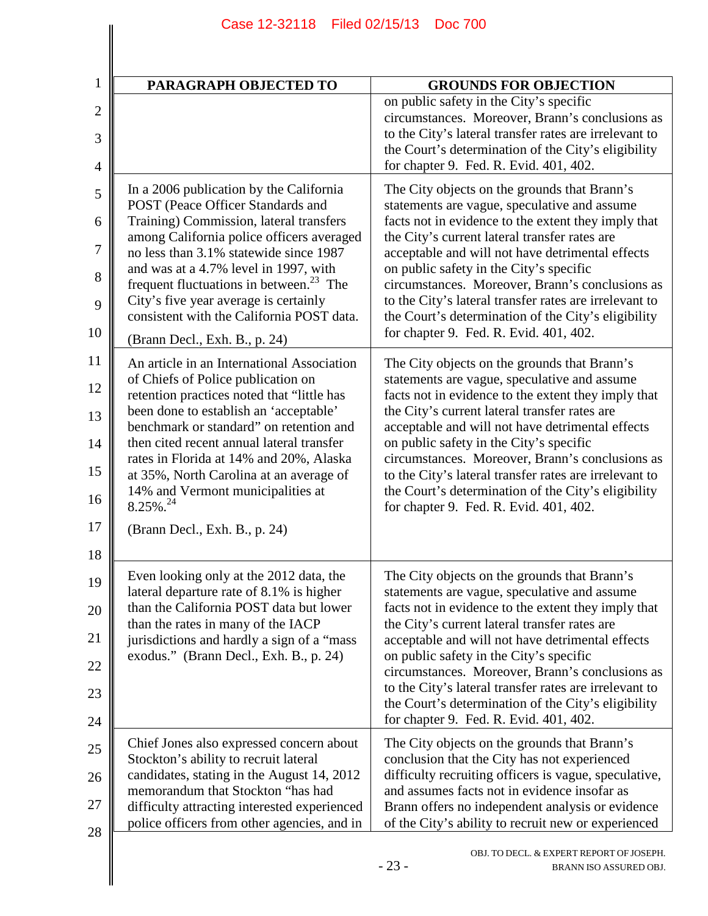| PARAGRAPH OBJECTED TO                                                                                                                                                                                                                                                                                                                                                                                                                                                                                                                                                                                                                                                                                                                                                                                                                                                                           | <b>GROUNDS FOR OBJECTION</b>                                                                                                                                                                                                                                                                                                                                                                                                                                                                                                                                                                                                                                                                                                                                                                                                                                                                                                                                                                                                           |
|-------------------------------------------------------------------------------------------------------------------------------------------------------------------------------------------------------------------------------------------------------------------------------------------------------------------------------------------------------------------------------------------------------------------------------------------------------------------------------------------------------------------------------------------------------------------------------------------------------------------------------------------------------------------------------------------------------------------------------------------------------------------------------------------------------------------------------------------------------------------------------------------------|----------------------------------------------------------------------------------------------------------------------------------------------------------------------------------------------------------------------------------------------------------------------------------------------------------------------------------------------------------------------------------------------------------------------------------------------------------------------------------------------------------------------------------------------------------------------------------------------------------------------------------------------------------------------------------------------------------------------------------------------------------------------------------------------------------------------------------------------------------------------------------------------------------------------------------------------------------------------------------------------------------------------------------------|
|                                                                                                                                                                                                                                                                                                                                                                                                                                                                                                                                                                                                                                                                                                                                                                                                                                                                                                 | on public safety in the City's specific<br>circumstances. Moreover, Brann's conclusions as<br>to the City's lateral transfer rates are irrelevant to<br>the Court's determination of the City's eligibility<br>for chapter 9. Fed. R. Evid. 401, 402.                                                                                                                                                                                                                                                                                                                                                                                                                                                                                                                                                                                                                                                                                                                                                                                  |
| In a 2006 publication by the California<br>POST (Peace Officer Standards and<br>Training) Commission, lateral transfers<br>among California police officers averaged<br>no less than 3.1% statewide since 1987<br>and was at a 4.7% level in 1997, with<br>frequent fluctuations in between. <sup>23</sup> The<br>City's five year average is certainly<br>consistent with the California POST data.<br>(Brann Decl., Exh. B., p. 24)<br>An article in an International Association<br>of Chiefs of Police publication on<br>retention practices noted that "little has<br>been done to establish an 'acceptable'<br>benchmark or standard" on retention and<br>then cited recent annual lateral transfer<br>rates in Florida at 14% and 20%, Alaska<br>at 35%, North Carolina at an average of<br>14% and Vermont municipalities at<br>$8.25\%$ <sup>24</sup><br>(Brann Decl., Exh. B., p. 24) | The City objects on the grounds that Brann's<br>statements are vague, speculative and assume<br>facts not in evidence to the extent they imply that<br>the City's current lateral transfer rates are<br>acceptable and will not have detrimental effects<br>on public safety in the City's specific<br>circumstances. Moreover, Brann's conclusions as<br>to the City's lateral transfer rates are irrelevant to<br>the Court's determination of the City's eligibility<br>for chapter 9. Fed. R. Evid. 401, 402.<br>The City objects on the grounds that Brann's<br>statements are vague, speculative and assume<br>facts not in evidence to the extent they imply that<br>the City's current lateral transfer rates are<br>acceptable and will not have detrimental effects<br>on public safety in the City's specific<br>circumstances. Moreover, Brann's conclusions as<br>to the City's lateral transfer rates are irrelevant to<br>the Court's determination of the City's eligibility<br>for chapter 9. Fed. R. Evid. 401, 402. |
| Even looking only at the 2012 data, the<br>lateral departure rate of 8.1% is higher<br>than the California POST data but lower<br>than the rates in many of the IACP<br>jurisdictions and hardly a sign of a "mass"<br>exodus." (Brann Decl., Exh. B., p. 24)<br>Chief Jones also expressed concern about<br>Stockton's ability to recruit lateral<br>candidates, stating in the August 14, 2012<br>memorandum that Stockton "has had<br>difficulty attracting interested experienced                                                                                                                                                                                                                                                                                                                                                                                                           | The City objects on the grounds that Brann's<br>statements are vague, speculative and assume<br>facts not in evidence to the extent they imply that<br>the City's current lateral transfer rates are<br>acceptable and will not have detrimental effects<br>on public safety in the City's specific<br>circumstances. Moreover, Brann's conclusions as<br>to the City's lateral transfer rates are irrelevant to<br>the Court's determination of the City's eligibility<br>for chapter 9. Fed. R. Evid. 401, 402.<br>The City objects on the grounds that Brann's<br>conclusion that the City has not experienced<br>difficulty recruiting officers is vague, speculative,<br>and assumes facts not in evidence insofar as<br>Brann offers no independent analysis or evidence<br>of the City's ability to recruit new or experienced                                                                                                                                                                                                  |
|                                                                                                                                                                                                                                                                                                                                                                                                                                                                                                                                                                                                                                                                                                                                                                                                                                                                                                 | police officers from other agencies, and in                                                                                                                                                                                                                                                                                                                                                                                                                                                                                                                                                                                                                                                                                                                                                                                                                                                                                                                                                                                            |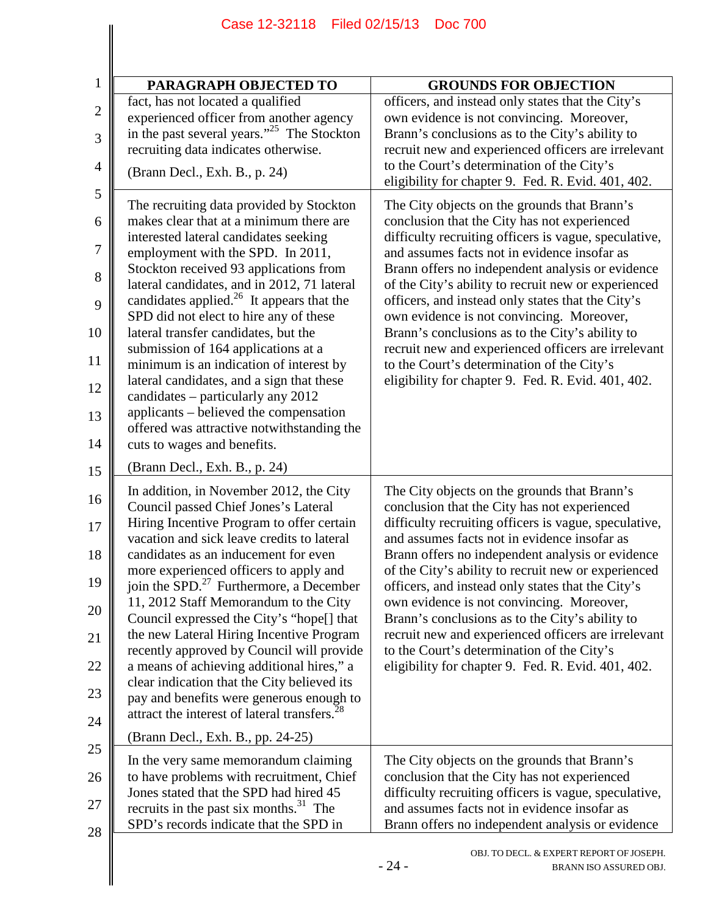| PARAGRAPH OBJECTED TO<br>fact, has not located a qualified                                                                   | <b>GROUNDS FOR OBJECTION</b><br>officers, and instead only states that the City's<br>own evidence is not convincing. Moreover,                        |
|------------------------------------------------------------------------------------------------------------------------------|-------------------------------------------------------------------------------------------------------------------------------------------------------|
|                                                                                                                              |                                                                                                                                                       |
|                                                                                                                              |                                                                                                                                                       |
| experienced officer from another agency<br>in the past several years." <sup>25</sup> The Stockton                            | Brann's conclusions as to the City's ability to                                                                                                       |
| recruiting data indicates otherwise.                                                                                         | recruit new and experienced officers are irrelevant<br>to the Court's determination of the City's                                                     |
| (Brann Decl., Exh. B., p. 24)                                                                                                | eligibility for chapter 9. Fed. R. Evid. 401, 402.                                                                                                    |
| The recruiting data provided by Stockton<br>makes clear that at a minimum there are                                          | The City objects on the grounds that Brann's<br>conclusion that the City has not experienced                                                          |
| interested lateral candidates seeking<br>employment with the SPD. In 2011,                                                   | difficulty recruiting officers is vague, speculative,<br>and assumes facts not in evidence insofar as                                                 |
| Stockton received 93 applications from                                                                                       | Brann offers no independent analysis or evidence                                                                                                      |
| lateral candidates, and in 2012, 71 lateral<br>candidates applied. <sup>26</sup> It appears that the                         | of the City's ability to recruit new or experienced<br>officers, and instead only states that the City's                                              |
| SPD did not elect to hire any of these<br>lateral transfer candidates, but the                                               | own evidence is not convincing. Moreover,<br>Brann's conclusions as to the City's ability to                                                          |
| submission of 164 applications at a<br>minimum is an indication of interest by                                               | recruit new and experienced officers are irrelevant<br>to the Court's determination of the City's                                                     |
| lateral candidates, and a sign that these                                                                                    | eligibility for chapter 9. Fed. R. Evid. 401, 402.                                                                                                    |
| candidates – particularly any 2012<br>applicants – believed the compensation                                                 |                                                                                                                                                       |
| offered was attractive notwithstanding the<br>cuts to wages and benefits.                                                    |                                                                                                                                                       |
| (Brann Decl., Exh. B., p. 24)                                                                                                |                                                                                                                                                       |
| In addition, in November 2012, the City<br>Council passed Chief Jones's Lateral<br>Hiring Incentive Program to offer certain | The City objects on the grounds that Brann's<br>conclusion that the City has not experienced<br>difficulty recruiting officers is vague, speculative, |
| vacation and sick leave credits to lateral<br>candidates as an inducement for even                                           | and assumes facts not in evidence insofar as                                                                                                          |
| more experienced officers to apply and                                                                                       | Brann offers no independent analysis or evidence<br>of the City's ability to recruit new or experienced                                               |
| join the SPD. <sup>27</sup> Furthermore, a December<br>11, 2012 Staff Memorandum to the City                                 | officers, and instead only states that the City's<br>own evidence is not convincing. Moreover,                                                        |
| Council expressed the City's "hope[] that<br>the new Lateral Hiring Incentive Program                                        | Brann's conclusions as to the City's ability to<br>recruit new and experienced officers are irrelevant                                                |
| recently approved by Council will provide<br>a means of achieving additional hires," a                                       | to the Court's determination of the City's<br>eligibility for chapter 9. Fed. R. Evid. 401, 402.                                                      |
| clear indication that the City believed its                                                                                  |                                                                                                                                                       |
| pay and benefits were generous enough to<br>attract the interest of lateral transfers. <sup>28</sup>                         |                                                                                                                                                       |
| (Brann Decl., Exh. B., pp. 24-25)                                                                                            |                                                                                                                                                       |
| In the very same memorandum claiming<br>to have problems with recruitment, Chief                                             | The City objects on the grounds that Brann's<br>conclusion that the City has not experienced                                                          |
| Jones stated that the SPD had hired 45                                                                                       | difficulty recruiting officers is vague, speculative,                                                                                                 |
| recruits in the past six months. <sup>31</sup> The<br>SPD's records indicate that the SPD in                                 | and assumes facts not in evidence insofar as<br>Brann offers no independent analysis or evidence                                                      |
|                                                                                                                              | OBJ. TO DECL. & EXPERT REPORT OF JOSEPH.<br>$-24-$<br>BRANN ISO ASSURED OBJ.                                                                          |

Case 12-32118 Filed 02/15/13 Doc 700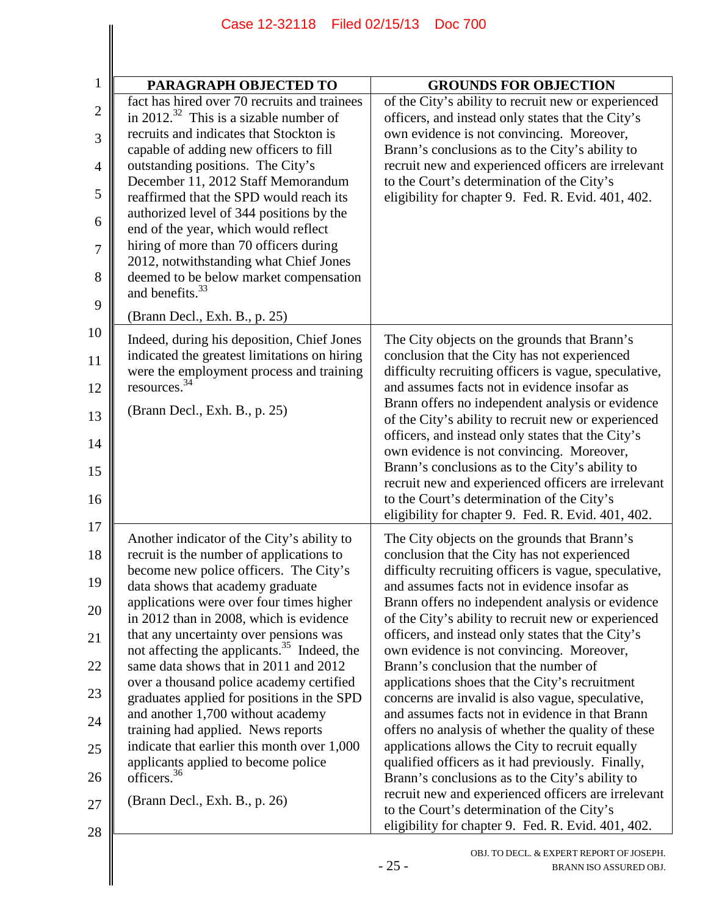|                                                                | Case 12-32118 Filed 02/15/13<br><b>Doc 700</b>                                                                                                                                                                                                                                                                                                                                                                                                                                                                                                                                                                                                                                                                                   |                                                                                                                                                                                                                                                                                                                                                                                                                                                                                                                                                                                                                                                                                                                                                                                                                                                                                                                                                                                                  |  |
|----------------------------------------------------------------|----------------------------------------------------------------------------------------------------------------------------------------------------------------------------------------------------------------------------------------------------------------------------------------------------------------------------------------------------------------------------------------------------------------------------------------------------------------------------------------------------------------------------------------------------------------------------------------------------------------------------------------------------------------------------------------------------------------------------------|--------------------------------------------------------------------------------------------------------------------------------------------------------------------------------------------------------------------------------------------------------------------------------------------------------------------------------------------------------------------------------------------------------------------------------------------------------------------------------------------------------------------------------------------------------------------------------------------------------------------------------------------------------------------------------------------------------------------------------------------------------------------------------------------------------------------------------------------------------------------------------------------------------------------------------------------------------------------------------------------------|--|
|                                                                |                                                                                                                                                                                                                                                                                                                                                                                                                                                                                                                                                                                                                                                                                                                                  |                                                                                                                                                                                                                                                                                                                                                                                                                                                                                                                                                                                                                                                                                                                                                                                                                                                                                                                                                                                                  |  |
| $\mathbf{1}$                                                   | PARAGRAPH OBJECTED TO                                                                                                                                                                                                                                                                                                                                                                                                                                                                                                                                                                                                                                                                                                            | <b>GROUNDS FOR OBJECTION</b>                                                                                                                                                                                                                                                                                                                                                                                                                                                                                                                                                                                                                                                                                                                                                                                                                                                                                                                                                                     |  |
| $\overline{2}$<br>3<br>$\overline{4}$<br>5<br>6<br>7           | fact has hired over 70 recruits and trainees<br>in 2012. <sup>32</sup> This is a sizable number of<br>recruits and indicates that Stockton is<br>capable of adding new officers to fill<br>outstanding positions. The City's<br>December 11, 2012 Staff Memorandum<br>reaffirmed that the SPD would reach its<br>authorized level of 344 positions by the<br>end of the year, which would reflect<br>hiring of more than 70 officers during                                                                                                                                                                                                                                                                                      | of the City's ability to recruit new or experienced<br>officers, and instead only states that the City's<br>own evidence is not convincing. Moreover,<br>Brann's conclusions as to the City's ability to<br>recruit new and experienced officers are irrelevant<br>to the Court's determination of the City's<br>eligibility for chapter 9. Fed. R. Evid. 401, 402.                                                                                                                                                                                                                                                                                                                                                                                                                                                                                                                                                                                                                              |  |
| 8<br>9                                                         | 2012, notwithstanding what Chief Jones<br>deemed to be below market compensation<br>and benefits. <sup>33</sup><br>(Brann Decl., Exh. B., p. 25)                                                                                                                                                                                                                                                                                                                                                                                                                                                                                                                                                                                 |                                                                                                                                                                                                                                                                                                                                                                                                                                                                                                                                                                                                                                                                                                                                                                                                                                                                                                                                                                                                  |  |
| 10<br>11<br>12<br>13<br>14<br>15<br>16<br>17                   | Indeed, during his deposition, Chief Jones<br>indicated the greatest limitations on hiring<br>were the employment process and training<br>resources. <sup>34</sup><br>(Brann Decl., Exh. B., p. 25)                                                                                                                                                                                                                                                                                                                                                                                                                                                                                                                              | The City objects on the grounds that Brann's<br>conclusion that the City has not experienced<br>difficulty recruiting officers is vague, speculative,<br>and assumes facts not in evidence insofar as<br>Brann offers no independent analysis or evidence<br>of the City's ability to recruit new or experienced<br>officers, and instead only states that the City's<br>own evidence is not convincing. Moreover,<br>Brann's conclusions as to the City's ability to<br>recruit new and experienced officers are irrelevant<br>to the Court's determination of the City's<br>eligibility for chapter 9. Fed. R. Evid. 401, 402.                                                                                                                                                                                                                                                                                                                                                                 |  |
| 18<br>19<br>20<br>21<br>22<br>23<br>24<br>25<br>26<br>27<br>28 | Another indicator of the City's ability to<br>recruit is the number of applications to<br>become new police officers. The City's<br>data shows that academy graduate<br>applications were over four times higher<br>in 2012 than in 2008, which is evidence<br>that any uncertainty over pensions was<br>not affecting the applicants. <sup>35</sup> Indeed, the<br>same data shows that in 2011 and 2012<br>over a thousand police academy certified<br>graduates applied for positions in the SPD<br>and another 1,700 without academy<br>training had applied. News reports<br>indicate that earlier this month over 1,000<br>applicants applied to become police<br>officers. <sup>36</sup><br>(Brann Decl., Exh. B., p. 26) | The City objects on the grounds that Brann's<br>conclusion that the City has not experienced<br>difficulty recruiting officers is vague, speculative,<br>and assumes facts not in evidence insofar as<br>Brann offers no independent analysis or evidence<br>of the City's ability to recruit new or experienced<br>officers, and instead only states that the City's<br>own evidence is not convincing. Moreover,<br>Brann's conclusion that the number of<br>applications shoes that the City's recruitment<br>concerns are invalid is also vague, speculative,<br>and assumes facts not in evidence in that Brann<br>offers no analysis of whether the quality of these<br>applications allows the City to recruit equally<br>qualified officers as it had previously. Finally,<br>Brann's conclusions as to the City's ability to<br>recruit new and experienced officers are irrelevant<br>to the Court's determination of the City's<br>eligibility for chapter 9. Fed. R. Evid. 401, 402. |  |
|                                                                |                                                                                                                                                                                                                                                                                                                                                                                                                                                                                                                                                                                                                                                                                                                                  | OBJ. TO DECL. & EXPERT REPORT OF JOSEPH.<br>$-25-$<br>BRANN ISO ASSURED OBJ.                                                                                                                                                                                                                                                                                                                                                                                                                                                                                                                                                                                                                                                                                                                                                                                                                                                                                                                     |  |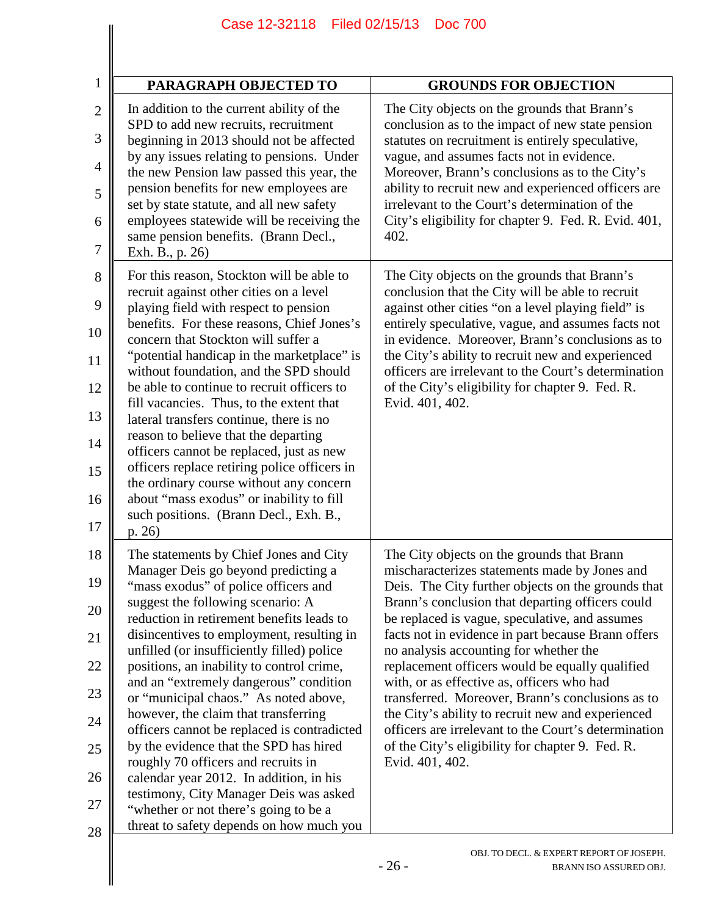| <b>PARAGRAPH OBJECTED TO</b>                                                                                                  | <b>GROUNDS FOR OBJECTION</b>                                                                                   |
|-------------------------------------------------------------------------------------------------------------------------------|----------------------------------------------------------------------------------------------------------------|
| In addition to the current ability of the<br>SPD to add new recruits, recruitment                                             | The City objects on the grounds that Brann's<br>conclusion as to the impact of new state pension               |
| beginning in 2013 should not be affected<br>by any issues relating to pensions. Under                                         | statutes on recruitment is entirely speculative,<br>vague, and assumes facts not in evidence.                  |
| the new Pension law passed this year, the<br>pension benefits for new employees are                                           | Moreover, Brann's conclusions as to the City's<br>ability to recruit new and experienced officers are          |
| set by state statute, and all new safety<br>employees statewide will be receiving the<br>same pension benefits. (Brann Decl., | irrelevant to the Court's determination of the<br>City's eligibility for chapter 9. Fed. R. Evid. 401,<br>402. |
| Exh. B., p. 26)                                                                                                               |                                                                                                                |
| For this reason, Stockton will be able to<br>recruit against other cities on a level                                          | The City objects on the grounds that Brann's<br>conclusion that the City will be able to recruit               |
| playing field with respect to pension                                                                                         | against other cities "on a level playing field" is                                                             |
| benefits. For these reasons, Chief Jones's<br>concern that Stockton will suffer a                                             | entirely speculative, vague, and assumes facts not<br>in evidence. Moreover, Brann's conclusions as to         |
| "potential handicap in the marketplace" is<br>without foundation, and the SPD should                                          | the City's ability to recruit new and experienced<br>officers are irrelevant to the Court's determination      |
| be able to continue to recruit officers to<br>fill vacancies. Thus, to the extent that                                        | of the City's eligibility for chapter 9. Fed. R.<br>Evid. 401, 402.                                            |
| lateral transfers continue, there is no                                                                                       |                                                                                                                |
| reason to believe that the departing<br>officers cannot be replaced, just as new                                              |                                                                                                                |
| officers replace retiring police officers in<br>the ordinary course without any concern                                       |                                                                                                                |
| about "mass exodus" or inability to fill<br>such positions. (Brann Decl., Exh. B.,<br>p. 26)                                  |                                                                                                                |
| The statements by Chief Jones and City                                                                                        | The City objects on the grounds that Brann                                                                     |
| Manager Deis go beyond predicting a<br>"mass exodus" of police officers and                                                   | mischaracterizes statements made by Jones and<br>Deis. The City further objects on the grounds that            |
| suggest the following scenario: A<br>reduction in retirement benefits leads to                                                | Brann's conclusion that departing officers could<br>be replaced is vague, speculative, and assumes             |
| disincentives to employment, resulting in<br>unfilled (or insufficiently filled) police                                       | facts not in evidence in part because Brann offers<br>no analysis accounting for whether the                   |
| positions, an inability to control crime,<br>and an "extremely dangerous" condition                                           | replacement officers would be equally qualified<br>with, or as effective as, officers who had                  |
| or "municipal chaos." As noted above,<br>however, the claim that transferring                                                 | transferred. Moreover, Brann's conclusions as to<br>the City's ability to recruit new and experienced          |
| officers cannot be replaced is contradicted<br>by the evidence that the SPD has hired                                         | officers are irrelevant to the Court's determination<br>of the City's eligibility for chapter 9. Fed. R.       |
| roughly 70 officers and recruits in<br>calendar year 2012. In addition, in his                                                | Evid. 401, 402.                                                                                                |
| testimony, City Manager Deis was asked<br>"whether or not there's going to be a                                               |                                                                                                                |
| threat to safety depends on how much you                                                                                      |                                                                                                                |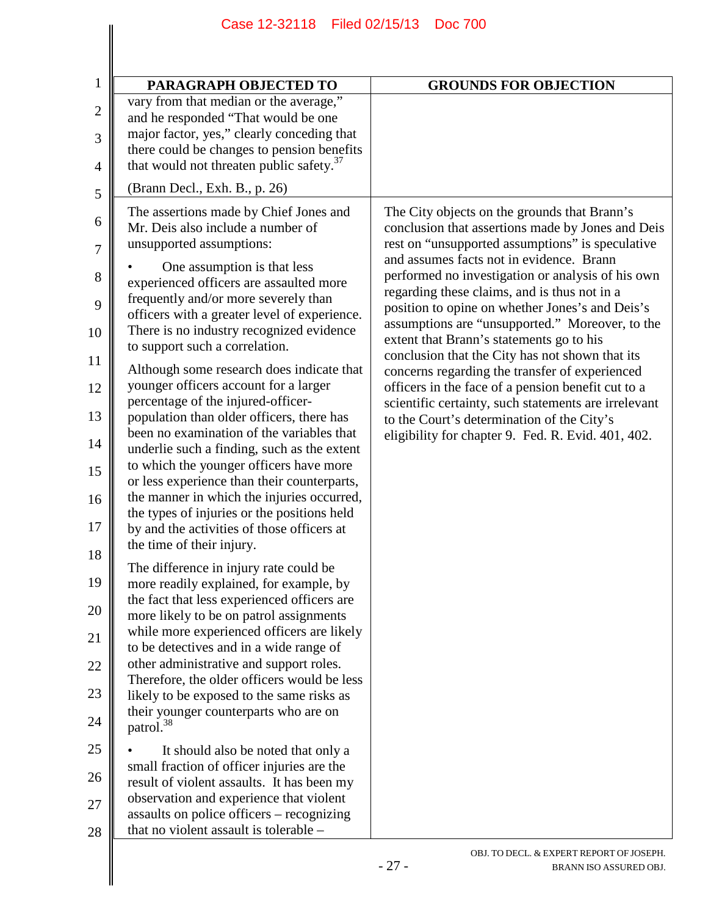| PARAGRAPH OBJECTED TO                                                                                                                                                                                                                                                                                                                                                                                                                                                                                                                                                                                                                                                                                                                                                                                                                                                                                                                                                                                                                                                                                                                                                                                                                                                                                                                                                                                                                                                                                                                                                                                                                                | <b>GROUNDS FOR OBJECTION</b>                                                                                                                                                                                                                                                                                                                                                                                                                                                                                                                                                                                                                                                                                                                                                    |
|------------------------------------------------------------------------------------------------------------------------------------------------------------------------------------------------------------------------------------------------------------------------------------------------------------------------------------------------------------------------------------------------------------------------------------------------------------------------------------------------------------------------------------------------------------------------------------------------------------------------------------------------------------------------------------------------------------------------------------------------------------------------------------------------------------------------------------------------------------------------------------------------------------------------------------------------------------------------------------------------------------------------------------------------------------------------------------------------------------------------------------------------------------------------------------------------------------------------------------------------------------------------------------------------------------------------------------------------------------------------------------------------------------------------------------------------------------------------------------------------------------------------------------------------------------------------------------------------------------------------------------------------------|---------------------------------------------------------------------------------------------------------------------------------------------------------------------------------------------------------------------------------------------------------------------------------------------------------------------------------------------------------------------------------------------------------------------------------------------------------------------------------------------------------------------------------------------------------------------------------------------------------------------------------------------------------------------------------------------------------------------------------------------------------------------------------|
| vary from that median or the average,"<br>and he responded "That would be one<br>major factor, yes," clearly conceding that<br>there could be changes to pension benefits<br>that would not threaten public safety. <sup>37</sup>                                                                                                                                                                                                                                                                                                                                                                                                                                                                                                                                                                                                                                                                                                                                                                                                                                                                                                                                                                                                                                                                                                                                                                                                                                                                                                                                                                                                                    |                                                                                                                                                                                                                                                                                                                                                                                                                                                                                                                                                                                                                                                                                                                                                                                 |
| (Brann Decl., Exh. B., p. 26)                                                                                                                                                                                                                                                                                                                                                                                                                                                                                                                                                                                                                                                                                                                                                                                                                                                                                                                                                                                                                                                                                                                                                                                                                                                                                                                                                                                                                                                                                                                                                                                                                        |                                                                                                                                                                                                                                                                                                                                                                                                                                                                                                                                                                                                                                                                                                                                                                                 |
| The assertions made by Chief Jones and<br>Mr. Deis also include a number of<br>unsupported assumptions:<br>One assumption is that less<br>experienced officers are assaulted more<br>frequently and/or more severely than<br>officers with a greater level of experience.<br>There is no industry recognized evidence<br>to support such a correlation.<br>Although some research does indicate that<br>younger officers account for a larger<br>percentage of the injured-officer-<br>population than older officers, there has<br>been no examination of the variables that<br>underlie such a finding, such as the extent<br>to which the younger officers have more<br>or less experience than their counterparts,<br>the manner in which the injuries occurred,<br>the types of injuries or the positions held<br>by and the activities of those officers at<br>the time of their injury.<br>The difference in injury rate could be<br>more readily explained, for example, by<br>the fact that less experienced officers are<br>more likely to be on patrol assignments<br>while more experienced officers are likely<br>to be detectives and in a wide range of<br>other administrative and support roles.<br>Therefore, the older officers would be less<br>likely to be exposed to the same risks as<br>their younger counterparts who are on<br>patrol. <sup>38</sup><br>It should also be noted that only a<br>small fraction of officer injuries are the<br>result of violent assaults. It has been my<br>observation and experience that violent<br>assaults on police officers - recognizing<br>that no violent assault is tolerable – | The City objects on the grounds that Brann's<br>conclusion that assertions made by Jones and Deis<br>rest on "unsupported assumptions" is speculative<br>and assumes facts not in evidence. Brann<br>performed no investigation or analysis of his own<br>regarding these claims, and is thus not in a<br>position to opine on whether Jones's and Deis's<br>assumptions are "unsupported." Moreover, to the<br>extent that Brann's statements go to his<br>conclusion that the City has not shown that its<br>concerns regarding the transfer of experienced<br>officers in the face of a pension benefit cut to a<br>scientific certainty, such statements are irrelevant<br>to the Court's determination of the City's<br>eligibility for chapter 9. Fed. R. Evid. 401, 402. |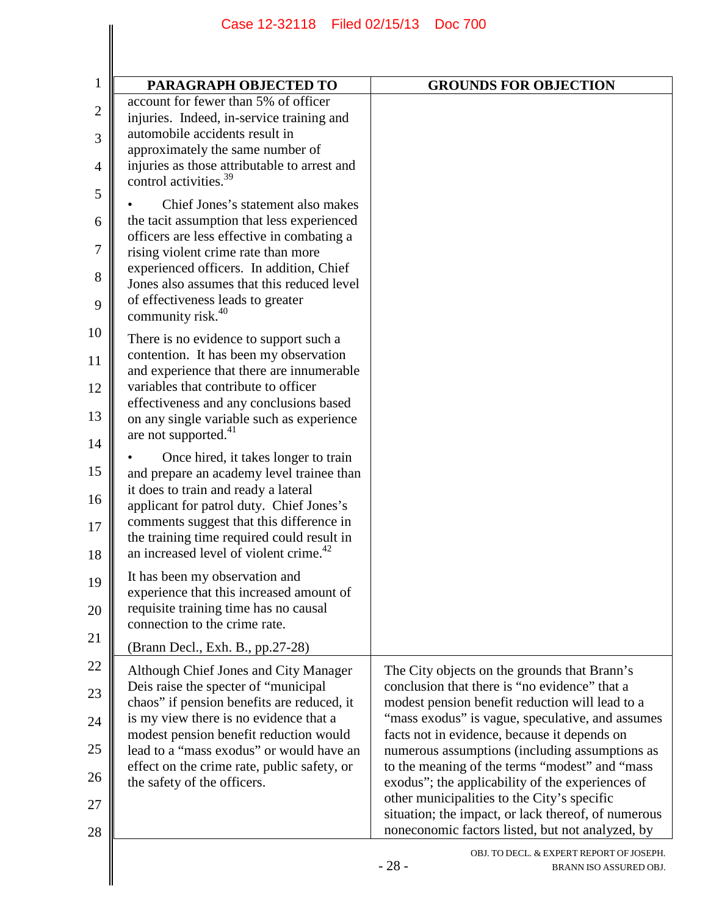| PARAGRAPH OBJECTED TO                                                                                                                                                                                                                                                                                                                      | <b>GROUNDS FOR OBJECTION</b>                                                                                                                                                                                                                                                                                                                                                                                                                                                                                       |
|--------------------------------------------------------------------------------------------------------------------------------------------------------------------------------------------------------------------------------------------------------------------------------------------------------------------------------------------|--------------------------------------------------------------------------------------------------------------------------------------------------------------------------------------------------------------------------------------------------------------------------------------------------------------------------------------------------------------------------------------------------------------------------------------------------------------------------------------------------------------------|
| account for fewer than 5% of officer<br>injuries. Indeed, in-service training and<br>automobile accidents result in<br>approximately the same number of<br>injuries as those attributable to arrest and                                                                                                                                    |                                                                                                                                                                                                                                                                                                                                                                                                                                                                                                                    |
| control activities. <sup>39</sup><br>Chief Jones's statement also makes<br>the tacit assumption that less experienced<br>officers are less effective in combating a<br>rising violent crime rate than more                                                                                                                                 |                                                                                                                                                                                                                                                                                                                                                                                                                                                                                                                    |
| experienced officers. In addition, Chief<br>Jones also assumes that this reduced level<br>of effectiveness leads to greater<br>community risk. <sup>40</sup>                                                                                                                                                                               |                                                                                                                                                                                                                                                                                                                                                                                                                                                                                                                    |
| There is no evidence to support such a<br>contention. It has been my observation<br>and experience that there are innumerable<br>variables that contribute to officer<br>effectiveness and any conclusions based                                                                                                                           |                                                                                                                                                                                                                                                                                                                                                                                                                                                                                                                    |
| on any single variable such as experience<br>are not supported. <sup>41</sup><br>Once hired, it takes longer to train<br>and prepare an academy level trainee than                                                                                                                                                                         |                                                                                                                                                                                                                                                                                                                                                                                                                                                                                                                    |
| it does to train and ready a lateral<br>applicant for patrol duty. Chief Jones's<br>comments suggest that this difference in<br>the training time required could result in<br>an increased level of violent crime. <sup>42</sup>                                                                                                           |                                                                                                                                                                                                                                                                                                                                                                                                                                                                                                                    |
| It has been my observation and<br>experience that this increased amount of<br>requisite training time has no causal<br>connection to the crime rate.                                                                                                                                                                                       |                                                                                                                                                                                                                                                                                                                                                                                                                                                                                                                    |
| (Brann Decl., Exh. B., pp.27-28)                                                                                                                                                                                                                                                                                                           |                                                                                                                                                                                                                                                                                                                                                                                                                                                                                                                    |
| Although Chief Jones and City Manager<br>Deis raise the specter of "municipal"<br>chaos" if pension benefits are reduced, it<br>is my view there is no evidence that a<br>modest pension benefit reduction would<br>lead to a "mass exodus" or would have an<br>effect on the crime rate, public safety, or<br>the safety of the officers. | The City objects on the grounds that Brann's<br>conclusion that there is "no evidence" that a<br>modest pension benefit reduction will lead to a<br>"mass exodus" is vague, speculative, and assumes<br>facts not in evidence, because it depends on<br>numerous assumptions (including assumptions as<br>to the meaning of the terms "modest" and "mass<br>exodus"; the applicability of the experiences of<br>other municipalities to the City's specific<br>situation; the impact, or lack thereof, of numerous |